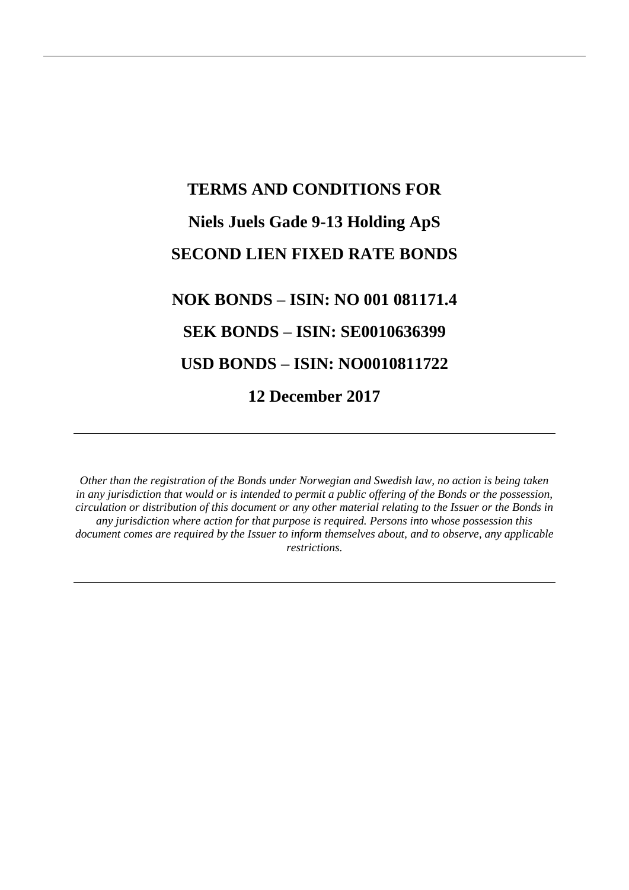# **TERMS AND CONDITIONS FOR Niels Juels Gade 9-13 Holding ApS SECOND LIEN FIXED RATE BONDS NOK BONDS – ISIN: NO 001 081171.4 SEK BONDS – ISIN: SE0010636399 USD BONDS – ISIN: NO0010811722**

**12 December 2017**

*Other than the registration of the Bonds under Norwegian and Swedish law, no action is being taken in any jurisdiction that would or is intended to permit a public offering of the Bonds or the possession, circulation or distribution of this document or any other material relating to the Issuer or the Bonds in any jurisdiction where action for that purpose is required. Persons into whose possession this document comes are required by the Issuer to inform themselves about, and to observe, any applicable restrictions.*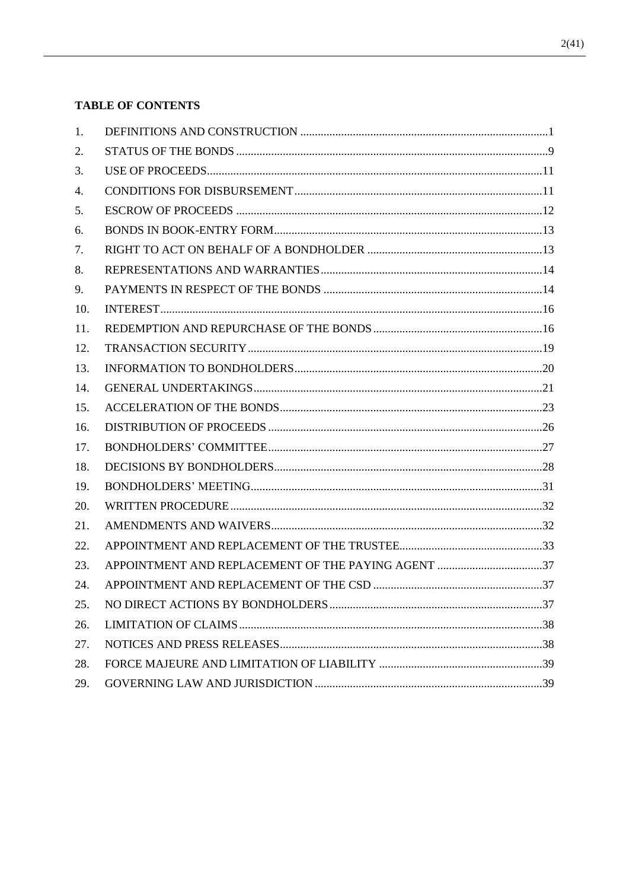# **TABLE OF CONTENTS**

| 1.  |                                                    |  |
|-----|----------------------------------------------------|--|
| 2.  |                                                    |  |
| 3.  |                                                    |  |
| 4.  |                                                    |  |
| 5.  |                                                    |  |
| 6.  |                                                    |  |
| 7.  |                                                    |  |
| 8.  |                                                    |  |
| 9.  |                                                    |  |
| 10. |                                                    |  |
| 11. |                                                    |  |
| 12. |                                                    |  |
| 13. |                                                    |  |
| 14. |                                                    |  |
| 15. |                                                    |  |
| 16. |                                                    |  |
| 17. |                                                    |  |
| 18. |                                                    |  |
| 19. |                                                    |  |
| 20. |                                                    |  |
| 21. |                                                    |  |
| 22. |                                                    |  |
| 23. | APPOINTMENT AND REPLACEMENT OF THE PAYING AGENT 37 |  |
| 24. |                                                    |  |
| 25. |                                                    |  |
| 26. |                                                    |  |
| 27. |                                                    |  |
| 28. |                                                    |  |
| 29. |                                                    |  |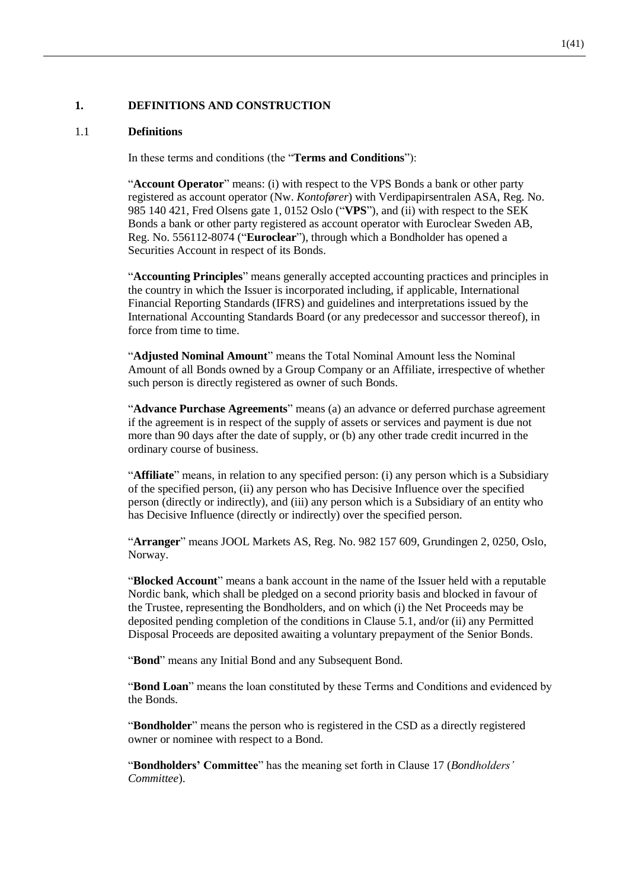## **1. DEFINITIONS AND CONSTRUCTION**

#### 1.1 **Definitions**

In these terms and conditions (the "**Terms and Conditions**"):

"**Account Operator**" means: (i) with respect to the VPS Bonds a bank or other party registered as account operator (Nw. *Kontofører*) with Verdipapirsentralen ASA, Reg. No. 985 140 421, Fred Olsens gate 1, 0152 Oslo ("**VPS**"), and (ii) with respect to the SEK Bonds a bank or other party registered as account operator with Euroclear Sweden AB, Reg. No. 556112-8074 ("**Euroclear**"), through which a Bondholder has opened a Securities Account in respect of its Bonds.

"**Accounting Principles**" means generally accepted accounting practices and principles in the country in which the Issuer is incorporated including, if applicable, International Financial Reporting Standards (IFRS) and guidelines and interpretations issued by the International Accounting Standards Board (or any predecessor and successor thereof), in force from time to time.

"**Adjusted Nominal Amount**" means the Total Nominal Amount less the Nominal Amount of all Bonds owned by a Group Company or an Affiliate, irrespective of whether such person is directly registered as owner of such Bonds.

"**Advance Purchase Agreements**" means (a) an advance or deferred purchase agreement if the agreement is in respect of the supply of assets or services and payment is due not more than 90 days after the date of supply, or (b) any other trade credit incurred in the ordinary course of business.

"**Affiliate**" means, in relation to any specified person: (i) any person which is a Subsidiary of the specified person, (ii) any person who has Decisive Influence over the specified person (directly or indirectly), and (iii) any person which is a Subsidiary of an entity who has Decisive Influence (directly or indirectly) over the specified person.

"**Arranger**" means JOOL Markets AS, Reg. No. 982 157 609, Grundingen 2, 0250, Oslo, Norway.

"**Blocked Account**" means a bank account in the name of the Issuer held with a reputable Nordic bank, which shall be pledged on a second priority basis and blocked in favour of the Trustee, representing the Bondholders, and on which (i) the Net Proceeds may be deposited pending completion of the conditions in Clause [5.1,](#page-13-0) and/or (ii) any Permitted Disposal Proceeds are deposited awaiting a voluntary prepayment of the Senior Bonds.

"**Bond**" means any Initial Bond and any Subsequent Bond.

"**Bond Loan**" means the loan constituted by these Terms and Conditions and evidenced by the Bonds.

"**Bondholder**" means the person who is registered in the CSD as a directly registered owner or nominee with respect to a Bond.

"**Bondholders' Committee**" has the meaning set forth in Clause [17](#page-28-0) (*Bondholders' Committee*).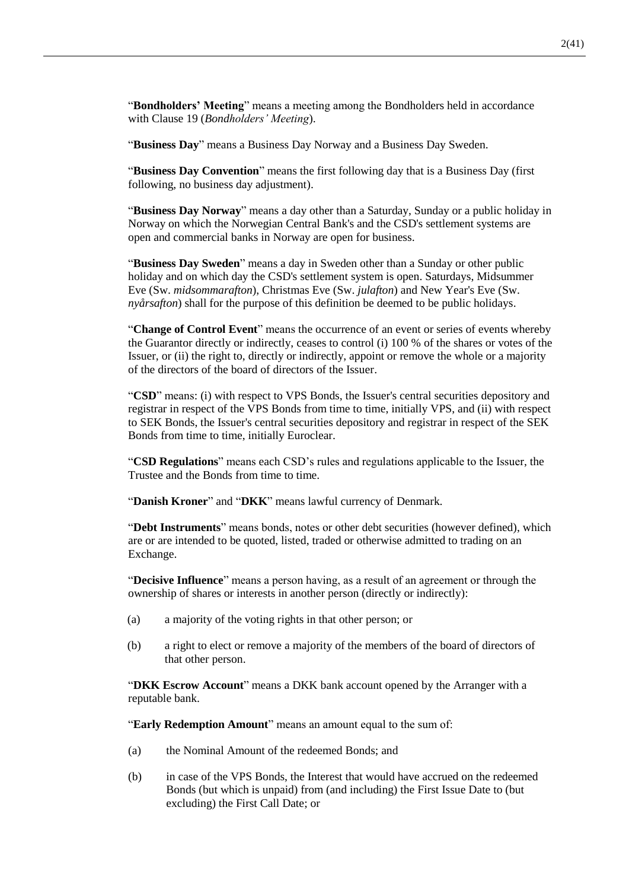"**Bondholders' Meeting**" means a meeting among the Bondholders held in accordance with Clause [19](#page-32-0) (*Bondholders' Meeting*).

"**Business Day**" means a Business Day Norway and a Business Day Sweden.

"**Business Day Convention**" means the first following day that is a Business Day (first following, no business day adjustment).

"**Business Day Norway**" means a day other than a Saturday, Sunday or a public holiday in Norway on which the Norwegian Central Bank's and the CSD's settlement systems are open and commercial banks in Norway are open for business.

"**Business Day Sweden**" means a day in Sweden other than a Sunday or other public holiday and on which day the CSD's settlement system is open. Saturdays, Midsummer Eve (Sw. *midsommarafton*), Christmas Eve (Sw. *julafton*) and New Year's Eve (Sw. *nyårsafton*) shall for the purpose of this definition be deemed to be public holidays.

"**Change of Control Event**" means the occurrence of an event or series of events whereby the Guarantor directly or indirectly, ceases to control (i) 100 % of the shares or votes of the Issuer, or (ii) the right to, directly or indirectly, appoint or remove the whole or a majority of the directors of the board of directors of the Issuer.

"**CSD**" means: (i) with respect to VPS Bonds, the Issuer's central securities depository and registrar in respect of the VPS Bonds from time to time, initially VPS, and (ii) with respect to SEK Bonds, the Issuer's central securities depository and registrar in respect of the SEK Bonds from time to time, initially Euroclear.

"**CSD Regulations**" means each CSD's rules and regulations applicable to the Issuer, the Trustee and the Bonds from time to time.

"**Danish Kroner**" and "**DKK**" means lawful currency of Denmark.

"**Debt Instruments**" means bonds, notes or other debt securities (however defined), which are or are intended to be quoted, listed, traded or otherwise admitted to trading on an Exchange.

"**Decisive Influence**" means a person having, as a result of an agreement or through the ownership of shares or interests in another person (directly or indirectly):

- (a) a majority of the voting rights in that other person; or
- (b) a right to elect or remove a majority of the members of the board of directors of that other person.

"**DKK Escrow Account**" means a DKK bank account opened by the Arranger with a reputable bank.

"**Early Redemption Amount**" means an amount equal to the sum of:

- (a) the Nominal Amount of the redeemed Bonds; and
- (b) in case of the VPS Bonds, the Interest that would have accrued on the redeemed Bonds (but which is unpaid) from (and including) the First Issue Date to (but excluding) the First Call Date; or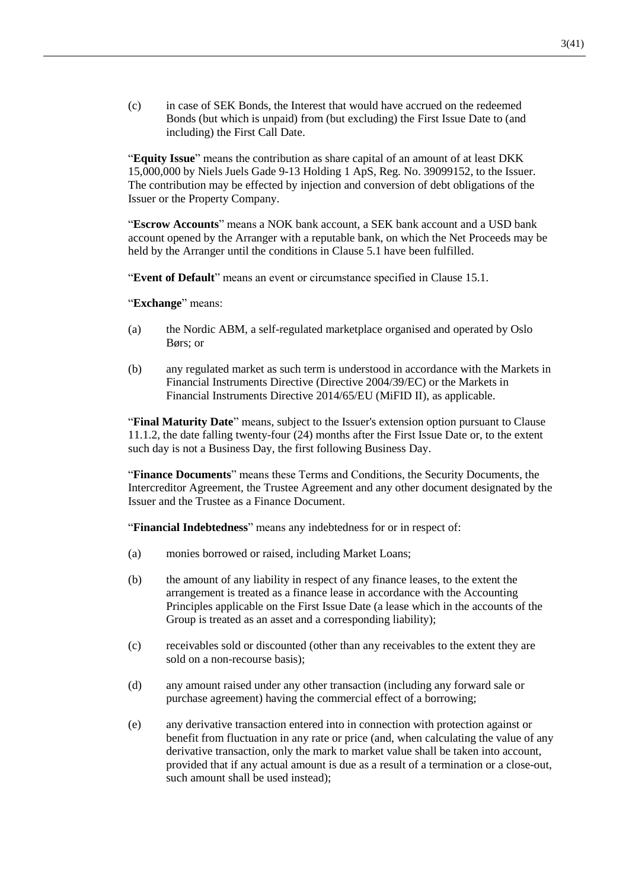(c) in case of SEK Bonds, the Interest that would have accrued on the redeemed Bonds (but which is unpaid) from (but excluding) the First Issue Date to (and including) the First Call Date.

"**Equity Issue**" means the contribution as share capital of an amount of at least DKK 15,000,000 by Niels Juels Gade 9-13 Holding 1 ApS, Reg. No. 39099152, to the Issuer. The contribution may be effected by injection and conversion of debt obligations of the Issuer or the Property Company.

"**Escrow Accounts**" means a NOK bank account, a SEK bank account and a USD bank account opened by the Arranger with a reputable bank, on which the Net Proceeds may be held by the Arranger until the conditions in Clause [5.1](#page-13-0) have been fulfilled.

"**Event of Default**" means an event or circumstance specified in Clause [15.1.](#page-24-0)

"**Exchange**" means:

- (a) the Nordic ABM, a self-regulated marketplace organised and operated by Oslo Børs; or
- (b) any regulated market as such term is understood in accordance with the Markets in Financial Instruments Directive (Directive 2004/39/EC) or the Markets in Financial Instruments Directive 2014/65/EU (MiFID II), as applicable.

"**Final Maturity Date**" means, subject to the Issuer's extension option pursuant to Clause [11.1.2,](#page-18-0) the date falling twenty-four (24) months after the First Issue Date or, to the extent such day is not a Business Day, the first following Business Day.

"**Finance Documents**" means these Terms and Conditions, the Security Documents, the Intercreditor Agreement, the Trustee Agreement and any other document designated by the Issuer and the Trustee as a Finance Document.

"**Financial Indebtedness**" means any indebtedness for or in respect of:

- (a) monies borrowed or raised, including Market Loans;
- (b) the amount of any liability in respect of any finance leases, to the extent the arrangement is treated as a finance lease in accordance with the Accounting Principles applicable on the First Issue Date (a lease which in the accounts of the Group is treated as an asset and a corresponding liability);
- (c) receivables sold or discounted (other than any receivables to the extent they are sold on a non-recourse basis);
- (d) any amount raised under any other transaction (including any forward sale or purchase agreement) having the commercial effect of a borrowing;
- (e) any derivative transaction entered into in connection with protection against or benefit from fluctuation in any rate or price (and, when calculating the value of any derivative transaction, only the mark to market value shall be taken into account, provided that if any actual amount is due as a result of a termination or a close-out, such amount shall be used instead);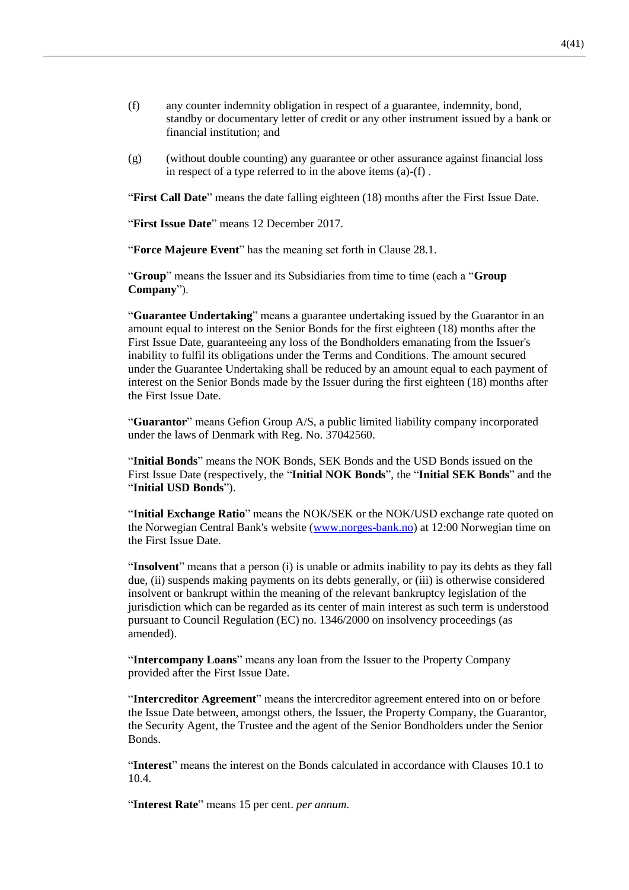- (f) any counter indemnity obligation in respect of a guarantee, indemnity, bond, standby or documentary letter of credit or any other instrument issued by a bank or financial institution; and
- (g) (without double counting) any guarantee or other assurance against financial loss in respect of a type referred to in the above items (a)-(f) .

"**First Call Date**" means the date falling eighteen (18) months after the First Issue Date.

"**First Issue Date**" means 12 December 2017.

"**Force Majeure Event**" has the meaning set forth in Clause [28.1.](#page-40-0)

"**Group**" means the Issuer and its Subsidiaries from time to time (each a "**Group Company**").

"**Guarantee Undertaking**" means a guarantee undertaking issued by the Guarantor in an amount equal to interest on the Senior Bonds for the first eighteen (18) months after the First Issue Date, guaranteeing any loss of the Bondholders emanating from the Issuer's inability to fulfil its obligations under the Terms and Conditions. The amount secured under the Guarantee Undertaking shall be reduced by an amount equal to each payment of interest on the Senior Bonds made by the Issuer during the first eighteen (18) months after the First Issue Date.

"**Guarantor**" means Gefion Group A/S, a public limited liability company incorporated under the laws of Denmark with Reg. No. 37042560.

"**Initial Bonds**" means the NOK Bonds, SEK Bonds and the USD Bonds issued on the First Issue Date (respectively, the "**Initial NOK Bonds**", the "**Initial SEK Bonds**" and the "**Initial USD Bonds**").

"**Initial Exchange Ratio**" means the NOK/SEK or the NOK/USD exchange rate quoted on the Norwegian Central Bank's website [\(www.norges-bank.no\)](http://www.norges-bank.no/) at 12:00 Norwegian time on the First Issue Date.

"**Insolvent**" means that a person (i) is unable or admits inability to pay its debts as they fall due, (ii) suspends making payments on its debts generally, or (iii) is otherwise considered insolvent or bankrupt within the meaning of the relevant bankruptcy legislation of the jurisdiction which can be regarded as its center of main interest as such term is understood pursuant to Council Regulation (EC) no. 1346/2000 on insolvency proceedings (as amended).

"**Intercompany Loans**" means any loan from the Issuer to the Property Company provided after the First Issue Date.

"**Intercreditor Agreement**" means the intercreditor agreement entered into on or before the Issue Date between, amongst others, the Issuer, the Property Company, the Guarantor, the Security Agent, the Trustee and the agent of the Senior Bondholders under the Senior Bonds.

"**Interest**" means the interest on the Bonds calculated in accordance with Clauses [10.1](#page-17-0) to [10.4.](#page-17-1)

"**Interest Rate**" means 15 per cent. *per annum*.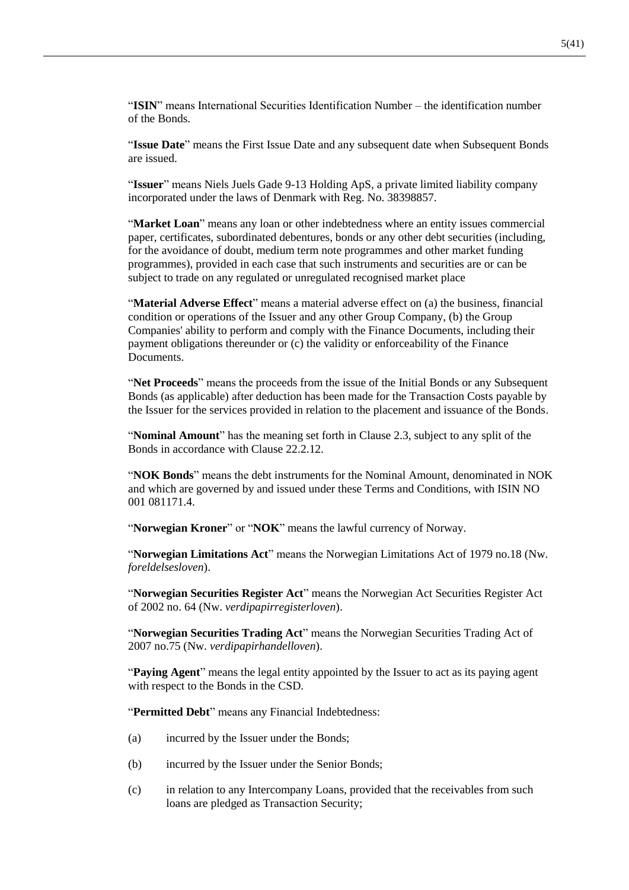"**ISIN**" means International Securities Identification Number – the identification number of the Bonds.

"**Issue Date**" means the First Issue Date and any subsequent date when Subsequent Bonds are issued.

"**Issuer**" means Niels Juels Gade 9-13 Holding ApS, a private limited liability company incorporated under the laws of Denmark with Reg. No. 38398857.

"**Market Loan**" means any loan or other indebtedness where an entity issues commercial paper, certificates, subordinated debentures, bonds or any other debt securities (including, for the avoidance of doubt, medium term note programmes and other market funding programmes), provided in each case that such instruments and securities are or can be subject to trade on any regulated or unregulated recognised market place

"**Material Adverse Effect**" means a material adverse effect on (a) the business, financial condition or operations of the Issuer and any other Group Company, (b) the Group Companies' ability to perform and comply with the Finance Documents, including their payment obligations thereunder or (c) the validity or enforceability of the Finance **Documents** 

"**Net Proceeds**" means the proceeds from the issue of the Initial Bonds or any Subsequent Bonds (as applicable) after deduction has been made for the Transaction Costs payable by the Issuer for the services provided in relation to the placement and issuance of the Bonds.

"**Nominal Amount**" has the meaning set forth in Clause [2.3,](#page-11-0) subject to any split of the Bonds in accordance with Clause [22.2.12.](#page-36-0)

"**NOK Bonds**" means the debt instruments for the Nominal Amount, denominated in NOK and which are governed by and issued under these Terms and Conditions, with ISIN NO 001 081171.4.

"**Norwegian Kroner**" or "**NOK**" means the lawful currency of Norway.

"**Norwegian Limitations Act**" means the Norwegian Limitations Act of 1979 no.18 (Nw. *foreldelsesloven*).

"**Norwegian Securities Register Act**" means the Norwegian Act Securities Register Act of 2002 no. 64 (Nw. *verdipapirregisterloven*).

"**Norwegian Securities Trading Act**" means the Norwegian Securities Trading Act of 2007 no.75 (Nw. *verdipapirhandelloven*).

"**Paying Agent**" means the legal entity appointed by the Issuer to act as its paying agent with respect to the Bonds in the CSD.

"**Permitted Debt**" means any Financial Indebtedness:

- (a) incurred by the Issuer under the Bonds;
- (b) incurred by the Issuer under the Senior Bonds;
- (c) in relation to any Intercompany Loans, provided that the receivables from such loans are pledged as Transaction Security;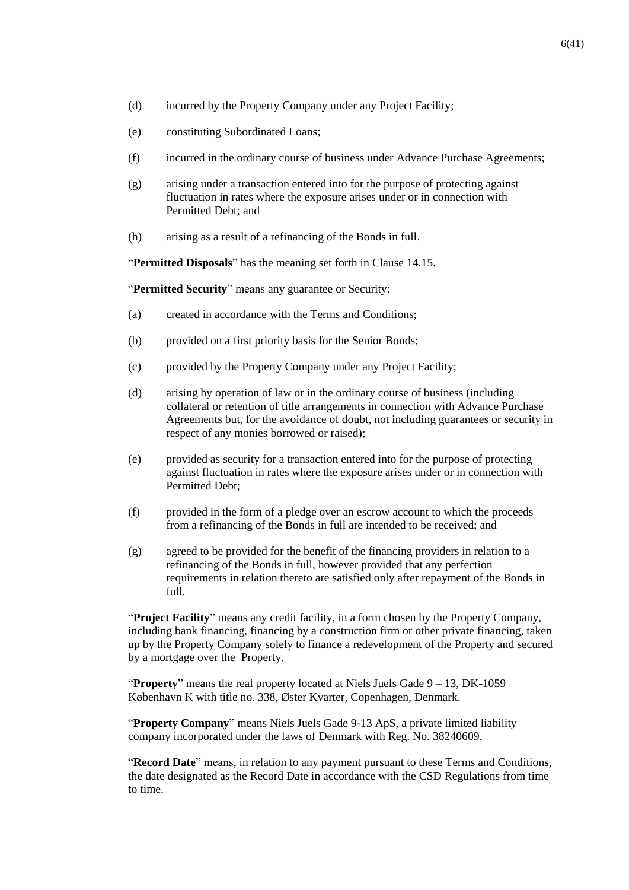- (d) incurred by the Property Company under any Project Facility;
- (e) constituting Subordinated Loans;
- (f) incurred in the ordinary course of business under Advance Purchase Agreements;
- (g) arising under a transaction entered into for the purpose of protecting against fluctuation in rates where the exposure arises under or in connection with Permitted Debt; and
- (h) arising as a result of a refinancing of the Bonds in full.

"**Permitted Disposals**" has the meaning set forth in Clause [14.15.](#page-24-1)

"**Permitted Security**" means any guarantee or Security:

- (a) created in accordance with the Terms and Conditions;
- (b) provided on a first priority basis for the Senior Bonds;
- (c) provided by the Property Company under any Project Facility;
- (d) arising by operation of law or in the ordinary course of business (including collateral or retention of title arrangements in connection with Advance Purchase Agreements but, for the avoidance of doubt, not including guarantees or security in respect of any monies borrowed or raised);
- (e) provided as security for a transaction entered into for the purpose of protecting against fluctuation in rates where the exposure arises under or in connection with Permitted Debt;
- (f) provided in the form of a pledge over an escrow account to which the proceeds from a refinancing of the Bonds in full are intended to be received; and
- (g) agreed to be provided for the benefit of the financing providers in relation to a refinancing of the Bonds in full, however provided that any perfection requirements in relation thereto are satisfied only after repayment of the Bonds in full.

"**Project Facility**" means any credit facility, in a form chosen by the Property Company, including bank financing, financing by a construction firm or other private financing, taken up by the Property Company solely to finance a redevelopment of the Property and secured by a mortgage over the Property.

"**Property**" means the real property located at Niels Juels Gade 9 – 13, DK-1059 København K with title no. 338, Øster Kvarter, Copenhagen, Denmark.

"**Property Company**" means Niels Juels Gade 9-13 ApS, a private limited liability company incorporated under the laws of Denmark with Reg. No. 38240609.

"**Record Date**" means, in relation to any payment pursuant to these Terms and Conditions, the date designated as the Record Date in accordance with the CSD Regulations from time to time.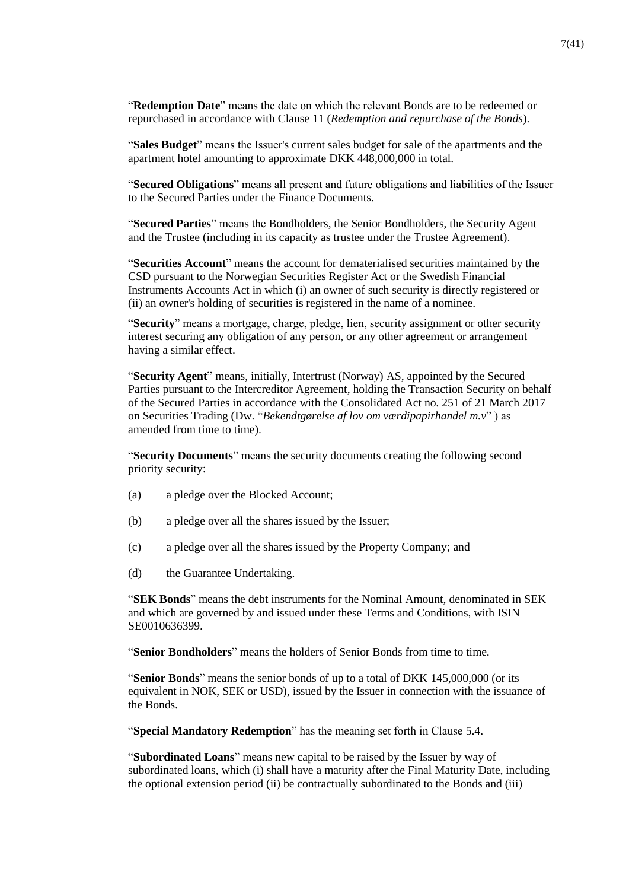"**Redemption Date**" means the date on which the relevant Bonds are to be redeemed or repurchased in accordance with Clause [11](#page-17-2) (*Redemption and repurchase of the Bonds*).

"**Sales Budget**" means the Issuer's current sales budget for sale of the apartments and the apartment hotel amounting to approximate DKK 448,000,000 in total.

"**Secured Obligations**" means all present and future obligations and liabilities of the Issuer to the Secured Parties under the Finance Documents.

"**Secured Parties**" means the Bondholders, the Senior Bondholders, the Security Agent and the Trustee (including in its capacity as trustee under the Trustee Agreement).

"**Securities Account**" means the account for dematerialised securities maintained by the CSD pursuant to the Norwegian Securities Register Act or the Swedish Financial Instruments Accounts Act in which (i) an owner of such security is directly registered or (ii) an owner's holding of securities is registered in the name of a nominee.

"**Security**" means a mortgage, charge, pledge, lien, security assignment or other security interest securing any obligation of any person, or any other agreement or arrangement having a similar effect.

"**Security Agent**" means, initially, Intertrust (Norway) AS, appointed by the Secured Parties pursuant to the Intercreditor Agreement, holding the Transaction Security on behalf of the Secured Parties in accordance with the Consolidated Act no. 251 of 21 March 2017 on Securities Trading (Dw. "*Bekendtgørelse af lov om værdipapirhandel m.v*" ) as amended from time to time).

"**Security Documents**" means the security documents creating the following second priority security:

- (a) a pledge over the Blocked Account;
- (b) a pledge over all the shares issued by the Issuer;
- (c) a pledge over all the shares issued by the Property Company; and
- (d) the Guarantee Undertaking.

"**SEK Bonds**" means the debt instruments for the Nominal Amount, denominated in SEK and which are governed by and issued under these Terms and Conditions, with ISIN SE0010636399.

"**Senior Bondholders**" means the holders of Senior Bonds from time to time.

"**Senior Bonds**" means the senior bonds of up to a total of DKK 145,000,000 (or its equivalent in NOK, SEK or USD), issued by the Issuer in connection with the issuance of the Bonds.

"**Special Mandatory Redemption**" has the meaning set forth in Clause [5.4.](#page-13-1)

"**Subordinated Loans**" means new capital to be raised by the Issuer by way of subordinated loans, which (i) shall have a maturity after the Final Maturity Date, including the optional extension period (ii) be contractually subordinated to the Bonds and (iii)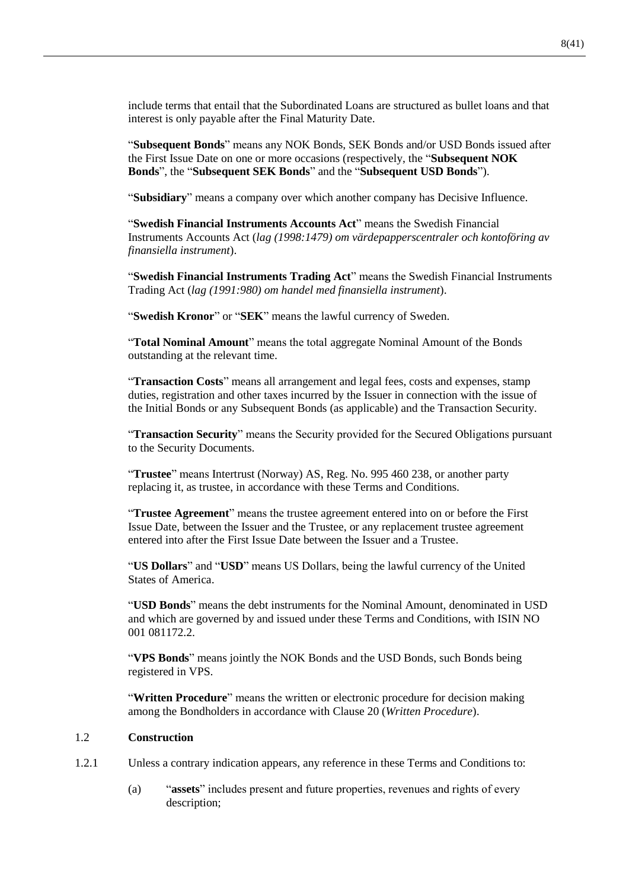include terms that entail that the Subordinated Loans are structured as bullet loans and that interest is only payable after the Final Maturity Date.

"**Subsequent Bonds**" means any NOK Bonds, SEK Bonds and/or USD Bonds issued after the First Issue Date on one or more occasions (respectively, the "**Subsequent NOK Bonds**", the "**Subsequent SEK Bonds**" and the "**Subsequent USD Bonds**").

"**Subsidiary**" means a company over which another company has Decisive Influence.

"**Swedish Financial Instruments Accounts Act**" means the Swedish Financial Instruments Accounts Act (*lag (1998:1479) om värdepapperscentraler och kontoföring av finansiella instrument*).

"**Swedish Financial Instruments Trading Act**" means the Swedish Financial Instruments Trading Act (*lag (1991:980) om handel med finansiella instrument*).

"**Swedish Kronor**" or "**SEK**" means the lawful currency of Sweden.

"**Total Nominal Amount**" means the total aggregate Nominal Amount of the Bonds outstanding at the relevant time.

"**Transaction Costs**" means all arrangement and legal fees, costs and expenses, stamp duties, registration and other taxes incurred by the Issuer in connection with the issue of the Initial Bonds or any Subsequent Bonds (as applicable) and the Transaction Security.

"**Transaction Security**" means the Security provided for the Secured Obligations pursuant to the Security Documents.

"**Trustee**" means Intertrust (Norway) AS, Reg. No. 995 460 238, or another party replacing it, as trustee, in accordance with these Terms and Conditions.

"**Trustee Agreement**" means the trustee agreement entered into on or before the First Issue Date, between the Issuer and the Trustee, or any replacement trustee agreement entered into after the First Issue Date between the Issuer and a Trustee.

"**US Dollars**" and "**USD**" means US Dollars, being the lawful currency of the United States of America.

"**USD Bonds**" means the debt instruments for the Nominal Amount, denominated in USD and which are governed by and issued under these Terms and Conditions, with ISIN NO 001 081172.2.

"VPS Bonds" means jointly the NOK Bonds and the USD Bonds, such Bonds being registered in VPS.

"**Written Procedure**" means the written or electronic procedure for decision making among the Bondholders in accordance with Clause [20](#page-33-0) (*Written Procedure*).

#### 1.2 **Construction**

- 1.2.1 Unless a contrary indication appears, any reference in these Terms and Conditions to:
	- (a) "**assets**" includes present and future properties, revenues and rights of every description;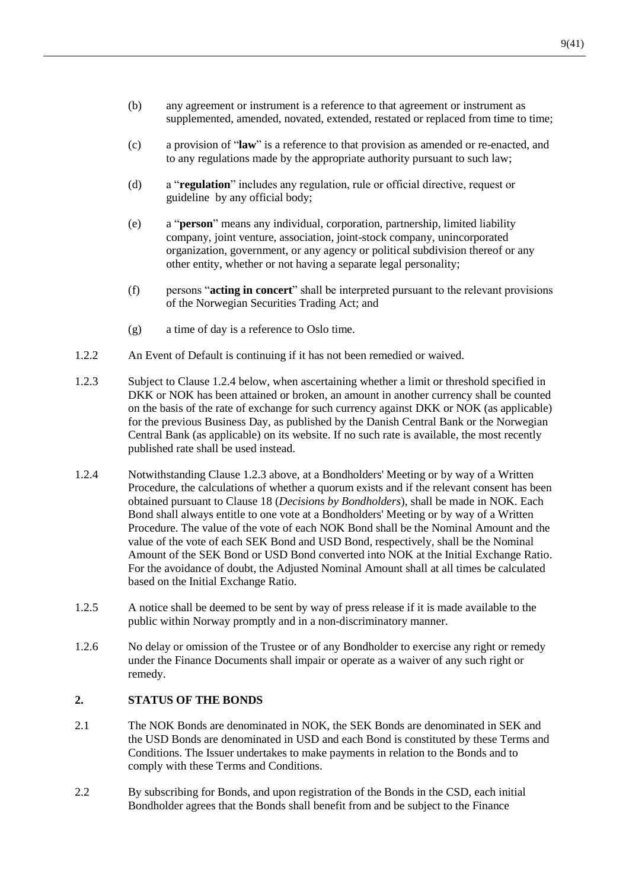- (b) any agreement or instrument is a reference to that agreement or instrument as supplemented, amended, novated, extended, restated or replaced from time to time;
- (c) a provision of "**law**" is a reference to that provision as amended or re-enacted, and to any regulations made by the appropriate authority pursuant to such law;
- (d) a "**regulation**" includes any regulation, rule or official directive, request or guideline by any official body;
- (e) a "**person**" means any individual, corporation, partnership, limited liability company, joint venture, association, joint-stock company, unincorporated organization, government, or any agency or political subdivision thereof or any other entity, whether or not having a separate legal personality;
- (f) persons "**acting in concert**" shall be interpreted pursuant to the relevant provisions of the Norwegian Securities Trading Act; and
- (g) a time of day is a reference to Oslo time.
- 1.2.2 An Event of Default is continuing if it has not been remedied or waived.
- <span id="page-10-1"></span>1.2.3 Subject to Clause [1.2.4](#page-10-0) below, when ascertaining whether a limit or threshold specified in DKK or NOK has been attained or broken, an amount in another currency shall be counted on the basis of the rate of exchange for such currency against DKK or NOK (as applicable) for the previous Business Day, as published by the Danish Central Bank or the Norwegian Central Bank (as applicable) on its website. If no such rate is available, the most recently published rate shall be used instead.
- <span id="page-10-0"></span>1.2.4 Notwithstanding Clause [1.2.3](#page-10-1) above, at a Bondholders' Meeting or by way of a Written Procedure, the calculations of whether a quorum exists and if the relevant consent has been obtained pursuant to Clause [18](#page-29-0) (*Decisions by Bondholders*), shall be made in NOK. Each Bond shall always entitle to one vote at a Bondholders' Meeting or by way of a Written Procedure. The value of the vote of each NOK Bond shall be the Nominal Amount and the value of the vote of each SEK Bond and USD Bond, respectively, shall be the Nominal Amount of the SEK Bond or USD Bond converted into NOK at the Initial Exchange Ratio. For the avoidance of doubt, the Adjusted Nominal Amount shall at all times be calculated based on the Initial Exchange Ratio.
- 1.2.5 A notice shall be deemed to be sent by way of press release if it is made available to the public within Norway promptly and in a non-discriminatory manner.
- 1.2.6 No delay or omission of the Trustee or of any Bondholder to exercise any right or remedy under the Finance Documents shall impair or operate as a waiver of any such right or remedy.

#### **2. STATUS OF THE BONDS**

- <span id="page-10-2"></span>2.1 The NOK Bonds are denominated in NOK, the SEK Bonds are denominated in SEK and the USD Bonds are denominated in USD and each Bond is constituted by these Terms and Conditions. The Issuer undertakes to make payments in relation to the Bonds and to comply with these Terms and Conditions.
- 2.2 By subscribing for Bonds, and upon registration of the Bonds in the CSD, each initial Bondholder agrees that the Bonds shall benefit from and be subject to the Finance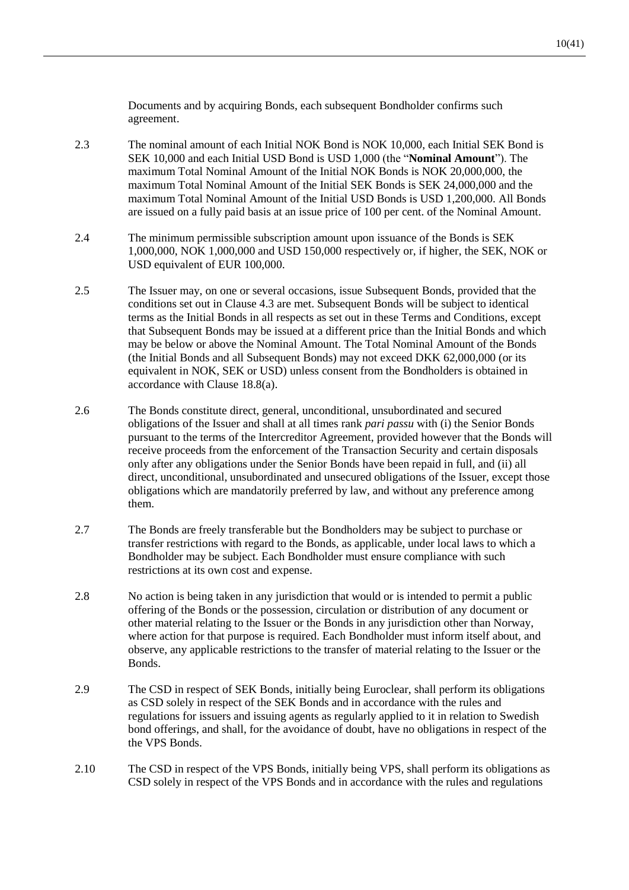Documents and by acquiring Bonds, each subsequent Bondholder confirms such agreement.

- <span id="page-11-0"></span>2.3 The nominal amount of each Initial NOK Bond is NOK 10,000, each Initial SEK Bond is SEK 10,000 and each Initial USD Bond is USD 1,000 (the "**Nominal Amount**"). The maximum Total Nominal Amount of the Initial NOK Bonds is NOK 20,000,000, the maximum Total Nominal Amount of the Initial SEK Bonds is SEK 24,000,000 and the maximum Total Nominal Amount of the Initial USD Bonds is USD 1,200,000. All Bonds are issued on a fully paid basis at an issue price of 100 per cent. of the Nominal Amount.
- 2.4 The minimum permissible subscription amount upon issuance of the Bonds is SEK 1,000,000, NOK 1,000,000 and USD 150,000 respectively or, if higher, the SEK, NOK or USD equivalent of EUR 100,000.
- 2.5 The Issuer may, on one or several occasions, issue Subsequent Bonds, provided that the conditions set out in Clause [4.3](#page-12-0) are met. Subsequent Bonds will be subject to identical terms as the Initial Bonds in all respects as set out in these Terms and Conditions, except that Subsequent Bonds may be issued at a different price than the Initial Bonds and which may be below or above the Nominal Amount. The Total Nominal Amount of the Bonds (the Initial Bonds and all Subsequent Bonds) may not exceed DKK 62,000,000 (or its equivalent in NOK, SEK or USD) unless consent from the Bondholders is obtained in accordance with Clause [18.8\(a\).](#page-30-0)
- <span id="page-11-1"></span>2.6 The Bonds constitute direct, general, unconditional, unsubordinated and secured obligations of the Issuer and shall at all times rank *pari passu* with (i) the Senior Bonds pursuant to the terms of the Intercreditor Agreement, provided however that the Bonds will receive proceeds from the enforcement of the Transaction Security and certain disposals only after any obligations under the Senior Bonds have been repaid in full, and (ii) all direct, unconditional, unsubordinated and unsecured obligations of the Issuer, except those obligations which are mandatorily preferred by law, and without any preference among them.
- 2.7 The Bonds are freely transferable but the Bondholders may be subject to purchase or transfer restrictions with regard to the Bonds, as applicable, under local laws to which a Bondholder may be subject. Each Bondholder must ensure compliance with such restrictions at its own cost and expense.
- <span id="page-11-2"></span>2.8 No action is being taken in any jurisdiction that would or is intended to permit a public offering of the Bonds or the possession, circulation or distribution of any document or other material relating to the Issuer or the Bonds in any jurisdiction other than Norway, where action for that purpose is required. Each Bondholder must inform itself about, and observe, any applicable restrictions to the transfer of material relating to the Issuer or the Bonds.
- 2.9 The CSD in respect of SEK Bonds, initially being Euroclear, shall perform its obligations as CSD solely in respect of the SEK Bonds and in accordance with the rules and regulations for issuers and issuing agents as regularly applied to it in relation to Swedish bond offerings, and shall, for the avoidance of doubt, have no obligations in respect of the the VPS Bonds.
- 2.10 The CSD in respect of the VPS Bonds, initially being VPS, shall perform its obligations as CSD solely in respect of the VPS Bonds and in accordance with the rules and regulations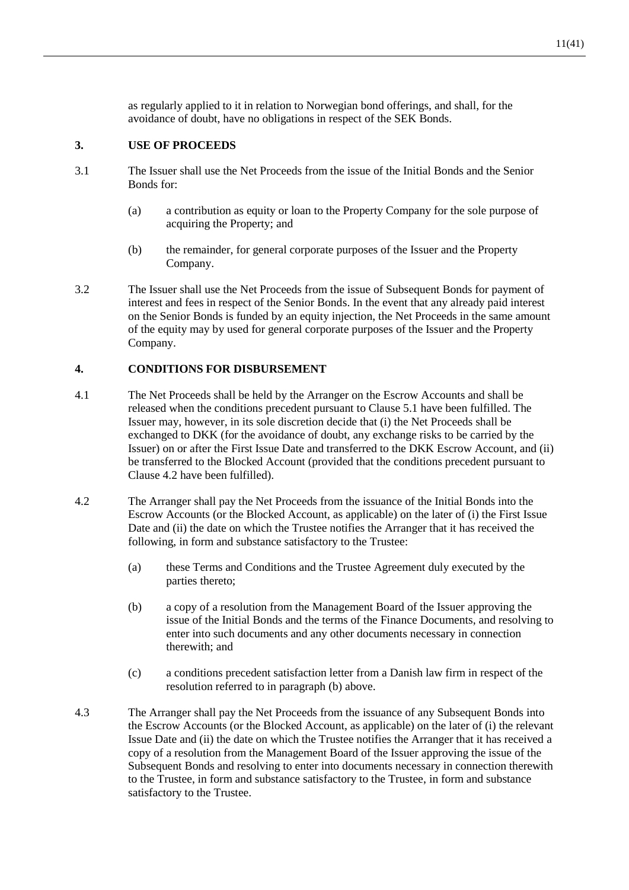as regularly applied to it in relation to Norwegian bond offerings, and shall, for the avoidance of doubt, have no obligations in respect of the SEK Bonds.

#### **3. USE OF PROCEEDS**

- <span id="page-12-2"></span>3.1 The Issuer shall use the Net Proceeds from the issue of the Initial Bonds and the Senior Bonds for:
	- (a) a contribution as equity or loan to the Property Company for the sole purpose of acquiring the Property; and
	- (b) the remainder, for general corporate purposes of the Issuer and the Property Company.
- <span id="page-12-3"></span>3.2 The Issuer shall use the Net Proceeds from the issue of Subsequent Bonds for payment of interest and fees in respect of the Senior Bonds. In the event that any already paid interest on the Senior Bonds is funded by an equity injection, the Net Proceeds in the same amount of the equity may by used for general corporate purposes of the Issuer and the Property Company.

#### **4. CONDITIONS FOR DISBURSEMENT**

- 4.1 The Net Proceeds shall be held by the Arranger on the Escrow Accounts and shall be released when the conditions precedent pursuant to Claus[e 5.1](#page-13-0) have been fulfilled. The Issuer may, however, in its sole discretion decide that (i) the Net Proceeds shall be exchanged to DKK (for the avoidance of doubt, any exchange risks to be carried by the Issuer) on or after the First Issue Date and transferred to the DKK Escrow Account, and (ii) be transferred to the Blocked Account (provided that the conditions precedent pursuant to Clause [4.2](#page-12-1) have been fulfilled).
- <span id="page-12-1"></span>4.2 The Arranger shall pay the Net Proceeds from the issuance of the Initial Bonds into the Escrow Accounts (or the Blocked Account, as applicable) on the later of (i) the First Issue Date and (ii) the date on which the Trustee notifies the Arranger that it has received the following, in form and substance satisfactory to the Trustee:
	- (a) these Terms and Conditions and the Trustee Agreement duly executed by the parties thereto;
	- (b) a copy of a resolution from the Management Board of the Issuer approving the issue of the Initial Bonds and the terms of the Finance Documents, and resolving to enter into such documents and any other documents necessary in connection therewith; and
	- (c) a conditions precedent satisfaction letter from a Danish law firm in respect of the resolution referred to in paragraph (b) above.
- <span id="page-12-0"></span>4.3 The Arranger shall pay the Net Proceeds from the issuance of any Subsequent Bonds into the Escrow Accounts (or the Blocked Account, as applicable) on the later of (i) the relevant Issue Date and (ii) the date on which the Trustee notifies the Arranger that it has received a copy of a resolution from the Management Board of the Issuer approving the issue of the Subsequent Bonds and resolving to enter into documents necessary in connection therewith to the Trustee, in form and substance satisfactory to the Trustee, in form and substance satisfactory to the Trustee.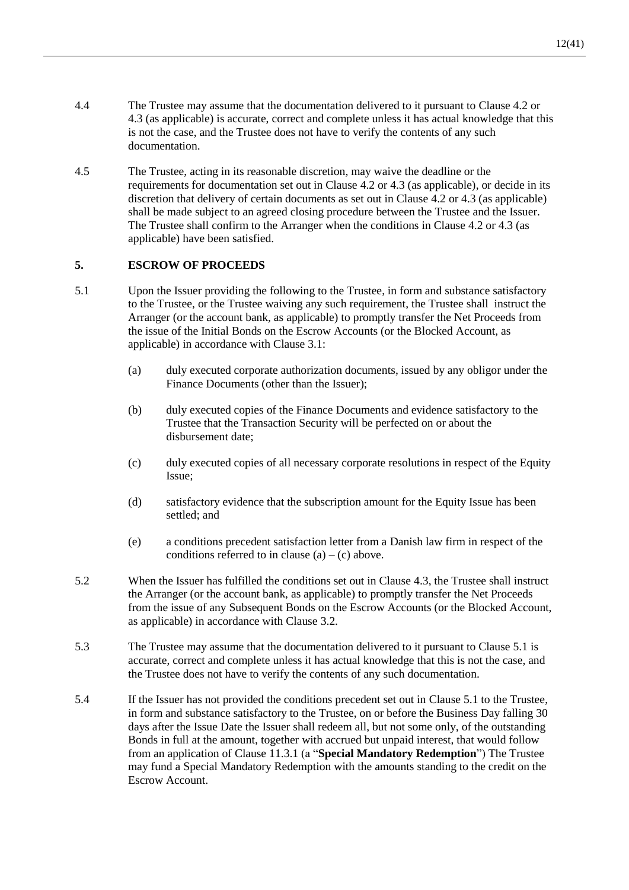- 4.4 The Trustee may assume that the documentation delivered to it pursuant to Clause [4.2](#page-12-1) or [4.3](#page-12-0) (as applicable) is accurate, correct and complete unless it has actual knowledge that this is not the case, and the Trustee does not have to verify the contents of any such documentation.
- 4.5 The Trustee, acting in its reasonable discretion, may waive the deadline or the requirements for documentation set out in Clause [4.2](#page-12-1) or [4.3](#page-12-0) (as applicable), or decide in its discretion that delivery of certain documents as set out in Clause [4.2](#page-12-1) o[r 4.3](#page-12-0) (as applicable) shall be made subject to an agreed closing procedure between the Trustee and the Issuer. The Trustee shall confirm to the Arranger when the conditions in Clause [4.2](#page-12-1) o[r 4.3](#page-12-0) (as applicable) have been satisfied.

## <span id="page-13-2"></span>**5. ESCROW OF PROCEEDS**

- <span id="page-13-0"></span>5.1 Upon the Issuer providing the following to the Trustee, in form and substance satisfactory to the Trustee, or the Trustee waiving any such requirement, the Trustee shall instruct the Arranger (or the account bank, as applicable) to promptly transfer the Net Proceeds from the issue of the Initial Bonds on the Escrow Accounts (or the Blocked Account, as applicable) in accordance with Clause [3.1:](#page-12-2)
	- (a) duly executed corporate authorization documents, issued by any obligor under the Finance Documents (other than the Issuer);
	- (b) duly executed copies of the Finance Documents and evidence satisfactory to the Trustee that the Transaction Security will be perfected on or about the disbursement date;
	- (c) duly executed copies of all necessary corporate resolutions in respect of the Equity Issue;
	- (d) satisfactory evidence that the subscription amount for the Equity Issue has been settled; and
	- (e) a conditions precedent satisfaction letter from a Danish law firm in respect of the conditions referred to in clause  $(a) - (c)$  above.
- 5.2 When the Issuer has fulfilled the conditions set out in Claus[e 4.3,](#page-12-0) the Trustee shall instruct the Arranger (or the account bank, as applicable) to promptly transfer the Net Proceeds from the issue of any Subsequent Bonds on the Escrow Accounts (or the Blocked Account, as applicable) in accordance with Clause [3.2.](#page-12-3)
- 5.3 The Trustee may assume that the documentation delivered to it pursuant to Clause [5.1](#page-13-0) is accurate, correct and complete unless it has actual knowledge that this is not the case, and the Trustee does not have to verify the contents of any such documentation.
- <span id="page-13-1"></span>5.4 If the Issuer has not provided the conditions precedent set out in Claus[e 5.1](#page-13-0) to the Trustee, in form and substance satisfactory to the Trustee, on or before the Business Day falling 30 days after the Issue Date the Issuer shall redeem all, but not some only, of the outstanding Bonds in full at the amount, together with accrued but unpaid interest, that would follow from an application of Clause [11.3.1](#page-18-1) (a "**Special Mandatory Redemption**") The Trustee may fund a Special Mandatory Redemption with the amounts standing to the credit on the Escrow Account.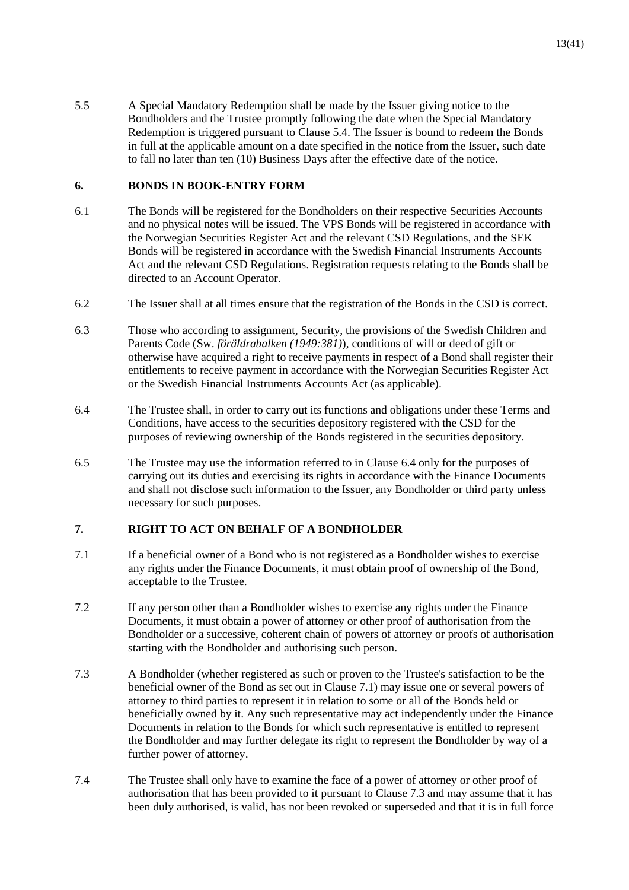5.5 A Special Mandatory Redemption shall be made by the Issuer giving notice to the Bondholders and the Trustee promptly following the date when the Special Mandatory Redemption is triggered pursuant to Clause [5.4.](#page-13-1) The Issuer is bound to redeem the Bonds in full at the applicable amount on a date specified in the notice from the Issuer, such date to fall no later than ten (10) Business Days after the effective date of the notice.

# **6. BONDS IN BOOK-ENTRY FORM**

- 6.1 The Bonds will be registered for the Bondholders on their respective Securities Accounts and no physical notes will be issued. The VPS Bonds will be registered in accordance with the Norwegian Securities Register Act and the relevant CSD Regulations, and the SEK Bonds will be registered in accordance with the Swedish Financial Instruments Accounts Act and the relevant CSD Regulations. Registration requests relating to the Bonds shall be directed to an Account Operator.
- 6.2 The Issuer shall at all times ensure that the registration of the Bonds in the CSD is correct.
- 6.3 Those who according to assignment, Security, the provisions of the Swedish Children and Parents Code (Sw. *föräldrabalken (1949:381)*), conditions of will or deed of gift or otherwise have acquired a right to receive payments in respect of a Bond shall register their entitlements to receive payment in accordance with the Norwegian Securities Register Act or the Swedish Financial Instruments Accounts Act (as applicable).
- <span id="page-14-0"></span>6.4 The Trustee shall, in order to carry out its functions and obligations under these Terms and Conditions, have access to the securities depository registered with the CSD for the purposes of reviewing ownership of the Bonds registered in the securities depository.
- 6.5 The Trustee may use the information referred to in Clause [6.4](#page-14-0) only for the purposes of carrying out its duties and exercising its rights in accordance with the Finance Documents and shall not disclose such information to the Issuer, any Bondholder or third party unless necessary for such purposes.

# <span id="page-14-3"></span>**7. RIGHT TO ACT ON BEHALF OF A BONDHOLDER**

- <span id="page-14-1"></span>7.1 If a beneficial owner of a Bond who is not registered as a Bondholder wishes to exercise any rights under the Finance Documents, it must obtain proof of ownership of the Bond, acceptable to the Trustee.
- 7.2 If any person other than a Bondholder wishes to exercise any rights under the Finance Documents, it must obtain a power of attorney or other proof of authorisation from the Bondholder or a successive, coherent chain of powers of attorney or proofs of authorisation starting with the Bondholder and authorising such person.
- <span id="page-14-2"></span>7.3 A Bondholder (whether registered as such or proven to the Trustee's satisfaction to be the beneficial owner of the Bond as set out in Clause [7.1\)](#page-14-1) may issue one or several powers of attorney to third parties to represent it in relation to some or all of the Bonds held or beneficially owned by it. Any such representative may act independently under the Finance Documents in relation to the Bonds for which such representative is entitled to represent the Bondholder and may further delegate its right to represent the Bondholder by way of a further power of attorney.
- 7.4 The Trustee shall only have to examine the face of a power of attorney or other proof of authorisation that has been provided to it pursuant to Clause [7.3](#page-14-2) and may assume that it has been duly authorised, is valid, has not been revoked or superseded and that it is in full force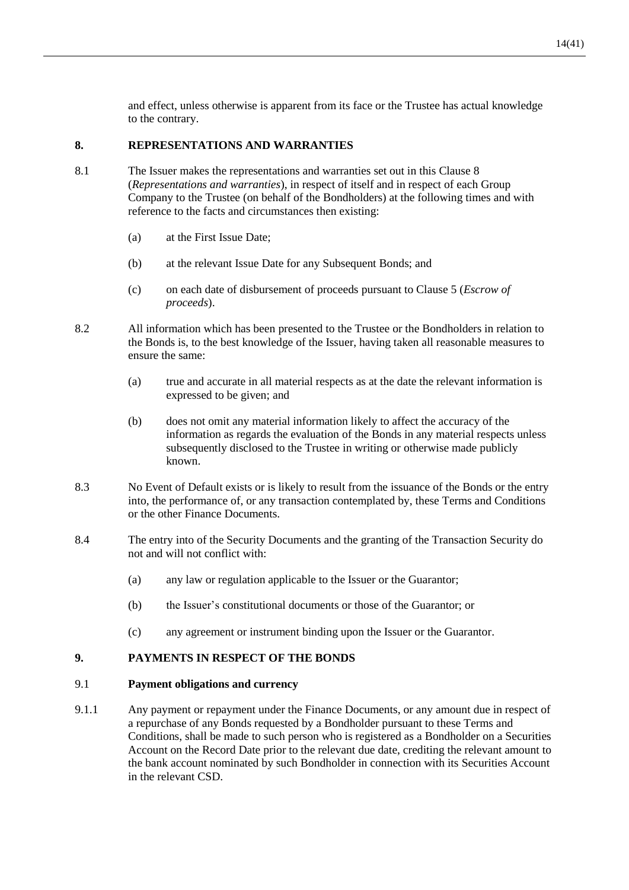and effect, unless otherwise is apparent from its face or the Trustee has actual knowledge to the contrary.

#### <span id="page-15-0"></span>**8. REPRESENTATIONS AND WARRANTIES**

- 8.1 The Issuer makes the representations and warranties set out in this Clause [8](#page-15-0) (*Representations and warranties*), in respect of itself and in respect of each Group Company to the Trustee (on behalf of the Bondholders) at the following times and with reference to the facts and circumstances then existing:
	- (a) at the First Issue Date;
	- (b) at the relevant Issue Date for any Subsequent Bonds; and
	- (c) on each date of disbursement of proceeds pursuant to Clause [5](#page-13-2) (*Escrow of proceeds*).
- 8.2 All information which has been presented to the Trustee or the Bondholders in relation to the Bonds is, to the best knowledge of the Issuer, having taken all reasonable measures to ensure the same:
	- (a) true and accurate in all material respects as at the date the relevant information is expressed to be given; and
	- (b) does not omit any material information likely to affect the accuracy of the information as regards the evaluation of the Bonds in any material respects unless subsequently disclosed to the Trustee in writing or otherwise made publicly known.
- 8.3 No Event of Default exists or is likely to result from the issuance of the Bonds or the entry into, the performance of, or any transaction contemplated by, these Terms and Conditions or the other Finance Documents.
- 8.4 The entry into of the Security Documents and the granting of the Transaction Security do not and will not conflict with:
	- (a) any law or regulation applicable to the Issuer or the Guarantor;
	- (b) the Issuer's constitutional documents or those of the Guarantor; or
	- (c) any agreement or instrument binding upon the Issuer or the Guarantor.

# **9. PAYMENTS IN RESPECT OF THE BONDS**

#### <span id="page-15-1"></span>9.1 **Payment obligations and currency**

9.1.1 Any payment or repayment under the Finance Documents, or any amount due in respect of a repurchase of any Bonds requested by a Bondholder pursuant to these Terms and Conditions, shall be made to such person who is registered as a Bondholder on a Securities Account on the Record Date prior to the relevant due date, crediting the relevant amount to the bank account nominated by such Bondholder in connection with its Securities Account in the relevant CSD.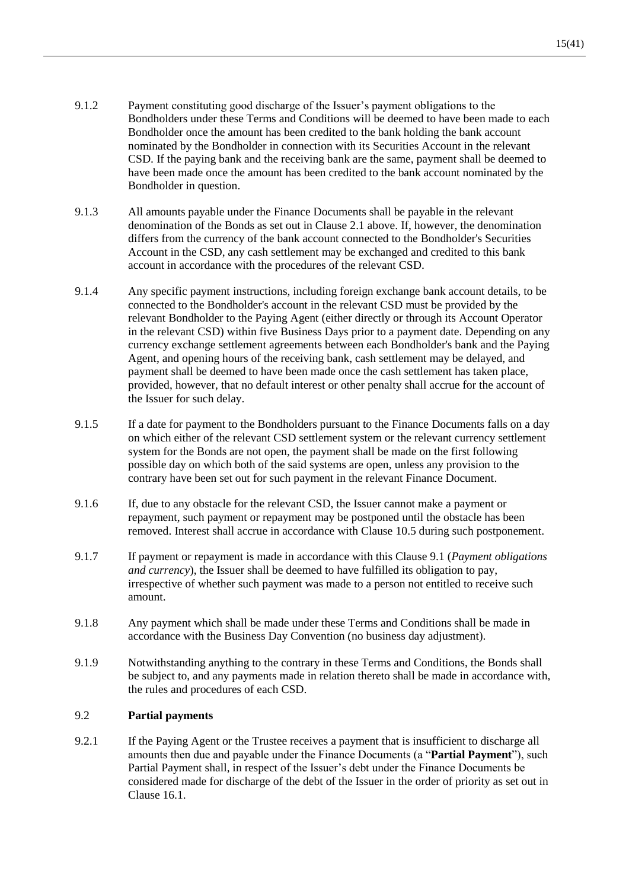- 9.1.2 Payment constituting good discharge of the Issuer's payment obligations to the Bondholders under these Terms and Conditions will be deemed to have been made to each Bondholder once the amount has been credited to the bank holding the bank account nominated by the Bondholder in connection with its Securities Account in the relevant CSD. If the paying bank and the receiving bank are the same, payment shall be deemed to have been made once the amount has been credited to the bank account nominated by the Bondholder in question.
- 9.1.3 All amounts payable under the Finance Documents shall be payable in the relevant denomination of the Bonds as set out in Clause [2.1](#page-10-2) above. If, however, the denomination differs from the currency of the bank account connected to the Bondholder's Securities Account in the CSD, any cash settlement may be exchanged and credited to this bank account in accordance with the procedures of the relevant CSD.
- 9.1.4 Any specific payment instructions, including foreign exchange bank account details, to be connected to the Bondholder's account in the relevant CSD must be provided by the relevant Bondholder to the Paying Agent (either directly or through its Account Operator in the relevant CSD) within five Business Days prior to a payment date. Depending on any currency exchange settlement agreements between each Bondholder's bank and the Paying Agent, and opening hours of the receiving bank, cash settlement may be delayed, and payment shall be deemed to have been made once the cash settlement has taken place, provided, however, that no default interest or other penalty shall accrue for the account of the Issuer for such delay.
- 9.1.5 If a date for payment to the Bondholders pursuant to the Finance Documents falls on a day on which either of the relevant CSD settlement system or the relevant currency settlement system for the Bonds are not open, the payment shall be made on the first following possible day on which both of the said systems are open, unless any provision to the contrary have been set out for such payment in the relevant Finance Document.
- 9.1.6 If, due to any obstacle for the relevant CSD, the Issuer cannot make a payment or repayment, such payment or repayment may be postponed until the obstacle has been removed. Interest shall accrue in accordance with Clause [10.5](#page-17-3) during such postponement.
- 9.1.7 If payment or repayment is made in accordance with this Clause [9.1](#page-15-1) (*Payment obligations and currency*), the Issuer shall be deemed to have fulfilled its obligation to pay, irrespective of whether such payment was made to a person not entitled to receive such amount.
- 9.1.8 Any payment which shall be made under these Terms and Conditions shall be made in accordance with the Business Day Convention (no business day adjustment).
- 9.1.9 Notwithstanding anything to the contrary in these Terms and Conditions, the Bonds shall be subject to, and any payments made in relation thereto shall be made in accordance with, the rules and procedures of each CSD.

# 9.2 **Partial payments**

<span id="page-16-0"></span>9.2.1 If the Paying Agent or the Trustee receives a payment that is insufficient to discharge all amounts then due and payable under the Finance Documents (a "**Partial Payment**"), such Partial Payment shall, in respect of the Issuer's debt under the Finance Documents be considered made for discharge of the debt of the Issuer in the order of priority as set out in Clause [16.1.](#page-27-0)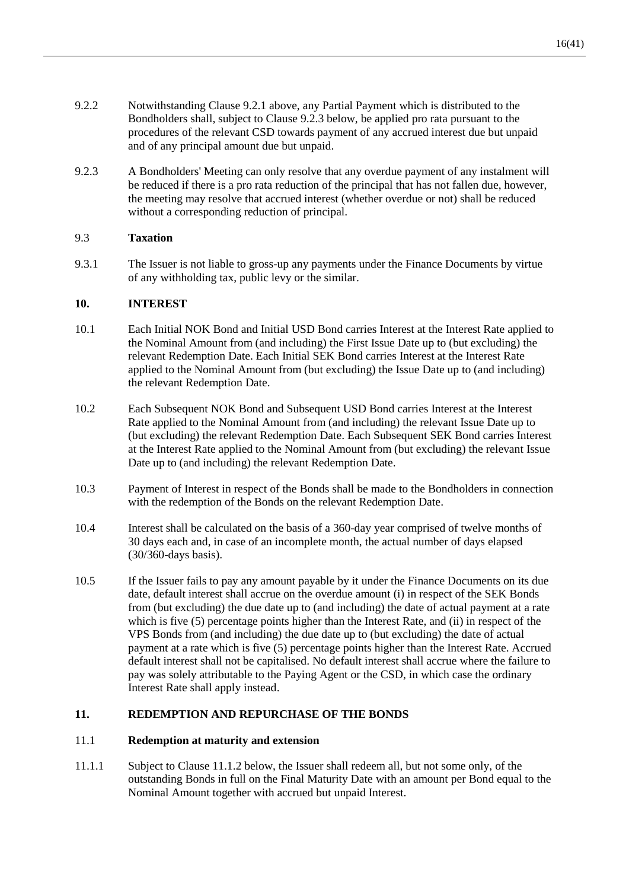- 9.2.2 Notwithstanding Clause [9.2.1](#page-16-0) above, any Partial Payment which is distributed to the Bondholders shall, subject to Clause [9.2.3](#page-17-4) below, be applied pro rata pursuant to the procedures of the relevant CSD towards payment of any accrued interest due but unpaid and of any principal amount due but unpaid.
- <span id="page-17-4"></span>9.2.3 A Bondholders' Meeting can only resolve that any overdue payment of any instalment will be reduced if there is a pro rata reduction of the principal that has not fallen due, however, the meeting may resolve that accrued interest (whether overdue or not) shall be reduced without a corresponding reduction of principal.

# 9.3 **Taxation**

9.3.1 The Issuer is not liable to gross-up any payments under the Finance Documents by virtue of any withholding tax, public levy or the similar.

## **10. INTEREST**

- <span id="page-17-0"></span>10.1 Each Initial NOK Bond and Initial USD Bond carries Interest at the Interest Rate applied to the Nominal Amount from (and including) the First Issue Date up to (but excluding) the relevant Redemption Date. Each Initial SEK Bond carries Interest at the Interest Rate applied to the Nominal Amount from (but excluding) the Issue Date up to (and including) the relevant Redemption Date.
- 10.2 Each Subsequent NOK Bond and Subsequent USD Bond carries Interest at the Interest Rate applied to the Nominal Amount from (and including) the relevant Issue Date up to (but excluding) the relevant Redemption Date. Each Subsequent SEK Bond carries Interest at the Interest Rate applied to the Nominal Amount from (but excluding) the relevant Issue Date up to (and including) the relevant Redemption Date.
- 10.3 Payment of Interest in respect of the Bonds shall be made to the Bondholders in connection with the redemption of the Bonds on the relevant Redemption Date.
- <span id="page-17-1"></span>10.4 Interest shall be calculated on the basis of a 360-day year comprised of twelve months of 30 days each and, in case of an incomplete month, the actual number of days elapsed (30/360-days basis).
- <span id="page-17-3"></span>10.5 If the Issuer fails to pay any amount payable by it under the Finance Documents on its due date, default interest shall accrue on the overdue amount (i) in respect of the SEK Bonds from (but excluding) the due date up to (and including) the date of actual payment at a rate which is five (5) percentage points higher than the Interest Rate, and (ii) in respect of the VPS Bonds from (and including) the due date up to (but excluding) the date of actual payment at a rate which is five (5) percentage points higher than the Interest Rate. Accrued default interest shall not be capitalised. No default interest shall accrue where the failure to pay was solely attributable to the Paying Agent or the CSD, in which case the ordinary Interest Rate shall apply instead.

#### <span id="page-17-2"></span>**11. REDEMPTION AND REPURCHASE OF THE BONDS**

#### 11.1 **Redemption at maturity and extension**

11.1.1 Subject to Clause [11.1.2](#page-18-0) below, the Issuer shall redeem all, but not some only, of the outstanding Bonds in full on the Final Maturity Date with an amount per Bond equal to the Nominal Amount together with accrued but unpaid Interest.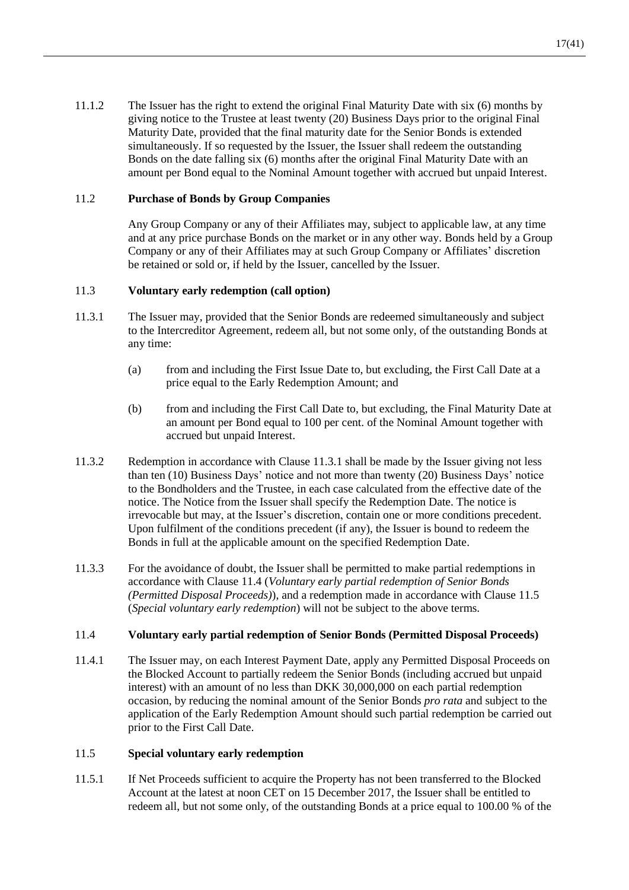<span id="page-18-0"></span>11.1.2 The Issuer has the right to extend the original Final Maturity Date with six (6) months by giving notice to the Trustee at least twenty (20) Business Days prior to the original Final Maturity Date, provided that the final maturity date for the Senior Bonds is extended simultaneously. If so requested by the Issuer, the Issuer shall redeem the outstanding Bonds on the date falling six (6) months after the original Final Maturity Date with an amount per Bond equal to the Nominal Amount together with accrued but unpaid Interest.

# 11.2 **Purchase of Bonds by Group Companies**

Any Group Company or any of their Affiliates may, subject to applicable law, at any time and at any price purchase Bonds on the market or in any other way. Bonds held by a Group Company or any of their Affiliates may at such Group Company or Affiliates' discretion be retained or sold or, if held by the Issuer, cancelled by the Issuer.

#### <span id="page-18-5"></span>11.3 **Voluntary early redemption (call option)**

- <span id="page-18-1"></span>11.3.1 The Issuer may, provided that the Senior Bonds are redeemed simultaneously and subject to the Intercreditor Agreement, redeem all, but not some only, of the outstanding Bonds at any time:
	- (a) from and including the First Issue Date to, but excluding, the First Call Date at a price equal to the Early Redemption Amount; and
	- (b) from and including the First Call Date to, but excluding, the Final Maturity Date at an amount per Bond equal to 100 per cent. of the Nominal Amount together with accrued but unpaid Interest.
- 11.3.2 Redemption in accordance with Clause [11.3.1](#page-18-1) shall be made by the Issuer giving not less than ten (10) Business Days' notice and not more than twenty (20) Business Days' notice to the Bondholders and the Trustee, in each case calculated from the effective date of the notice. The Notice from the Issuer shall specify the Redemption Date. The notice is irrevocable but may, at the Issuer's discretion, contain one or more conditions precedent. Upon fulfilment of the conditions precedent (if any), the Issuer is bound to redeem the Bonds in full at the applicable amount on the specified Redemption Date.
- 11.3.3 For the avoidance of doubt, the Issuer shall be permitted to make partial redemptions in accordance with Clause [11.4](#page-18-2) (*Voluntary early partial redemption of Senior Bonds (Permitted Disposal Proceeds)*), and a redemption made in accordance with Clause [11.5](#page-18-3) (*Special voluntary early redemption*) will not be subject to the above terms.

#### <span id="page-18-2"></span>11.4 **Voluntary early partial redemption of Senior Bonds (Permitted Disposal Proceeds)**

11.4.1 The Issuer may, on each Interest Payment Date, apply any Permitted Disposal Proceeds on the Blocked Account to partially redeem the Senior Bonds (including accrued but unpaid interest) with an amount of no less than DKK 30,000,000 on each partial redemption occasion, by reducing the nominal amount of the Senior Bonds *pro rata* and subject to the application of the Early Redemption Amount should such partial redemption be carried out prior to the First Call Date.

#### <span id="page-18-3"></span>11.5 **Special voluntary early redemption**

<span id="page-18-4"></span>11.5.1 If Net Proceeds sufficient to acquire the Property has not been transferred to the Blocked Account at the latest at noon CET on 15 December 2017, the Issuer shall be entitled to redeem all, but not some only, of the outstanding Bonds at a price equal to 100.00 % of the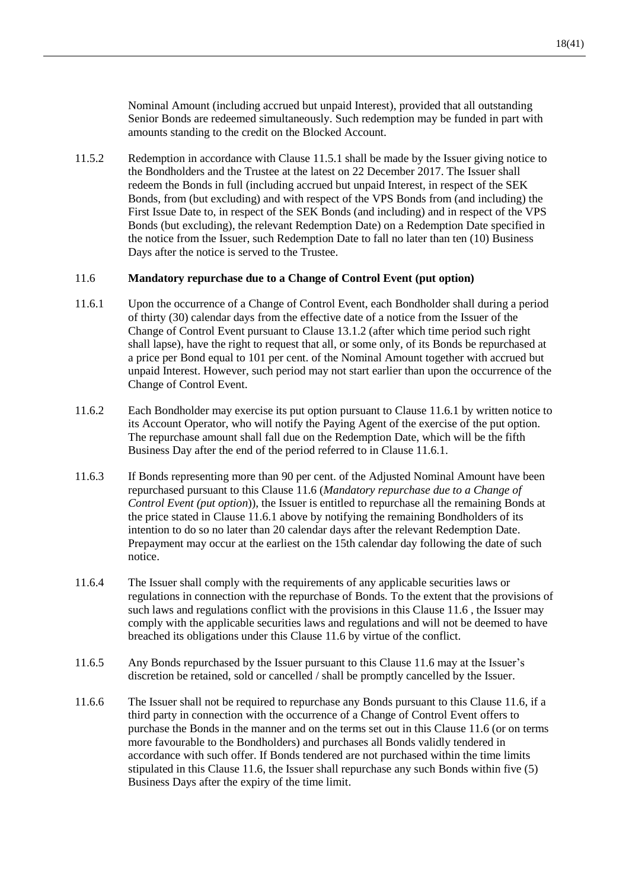Nominal Amount (including accrued but unpaid Interest), provided that all outstanding Senior Bonds are redeemed simultaneously. Such redemption may be funded in part with amounts standing to the credit on the Blocked Account.

11.5.2 Redemption in accordance with Clause [11.5.1](#page-18-4) shall be made by the Issuer giving notice to the Bondholders and the Trustee at the latest on 22 December 2017. The Issuer shall redeem the Bonds in full (including accrued but unpaid Interest, in respect of the SEK Bonds, from (but excluding) and with respect of the VPS Bonds from (and including) the First Issue Date to, in respect of the SEK Bonds (and including) and in respect of the VPS Bonds (but excluding), the relevant Redemption Date) on a Redemption Date specified in the notice from the Issuer, such Redemption Date to fall no later than ten (10) Business Days after the notice is served to the Trustee.

#### <span id="page-19-1"></span>11.6 **Mandatory repurchase due to a Change of Control Event (put option)**

- <span id="page-19-0"></span>11.6.1 Upon the occurrence of a Change of Control Event, each Bondholder shall during a period of thirty (30) calendar days from the effective date of a notice from the Issuer of the Change of Control Event pursuant to Clause [13.1.2](#page-21-0) (after which time period such right shall lapse), have the right to request that all, or some only, of its Bonds be repurchased at a price per Bond equal to 101 per cent. of the Nominal Amount together with accrued but unpaid Interest. However, such period may not start earlier than upon the occurrence of the Change of Control Event.
- 11.6.2 Each Bondholder may exercise its put option pursuant to Clause [11.6.1](#page-19-0) by written notice to its Account Operator, who will notify the Paying Agent of the exercise of the put option. The repurchase amount shall fall due on the Redemption Date, which will be the fifth Business Day after the end of the period referred to in Clause [11.6.1.](#page-19-0)
- 11.6.3 If Bonds representing more than 90 per cent. of the Adjusted Nominal Amount have been repurchased pursuant to this Clause [11.6](#page-19-1) (*Mandatory repurchase due to a Change of Control Event (put option*)), the Issuer is entitled to repurchase all the remaining Bonds at the price stated in Claus[e 11.6.1](#page-19-0) above by notifying the remaining Bondholders of its intention to do so no later than 20 calendar days after the relevant Redemption Date. Prepayment may occur at the earliest on the 15th calendar day following the date of such notice.
- 11.6.4 The Issuer shall comply with the requirements of any applicable securities laws or regulations in connection with the repurchase of Bonds. To the extent that the provisions of such laws and regulations conflict with the provisions in this Clause [11.6](#page-19-1) , the Issuer may comply with the applicable securities laws and regulations and will not be deemed to have breached its obligations under this Clause [11.6](#page-19-1) by virtue of the conflict.
- 11.6.5 Any Bonds repurchased by the Issuer pursuant to this Clause [11.6](#page-19-1) may at the Issuer's discretion be retained, sold or cancelled / shall be promptly cancelled by the Issuer.
- 11.6.6 The Issuer shall not be required to repurchase any Bonds pursuant to this Clause [11.6,](#page-19-1) if a third party in connection with the occurrence of a Change of Control Event offers to purchase the Bonds in the manner and on the terms set out in this Clause [11.6](#page-19-1) (or on terms more favourable to the Bondholders) and purchases all Bonds validly tendered in accordance with such offer. If Bonds tendered are not purchased within the time limits stipulated in this Clause [11.6,](#page-19-1) the Issuer shall repurchase any such Bonds within five (5) Business Days after the expiry of the time limit.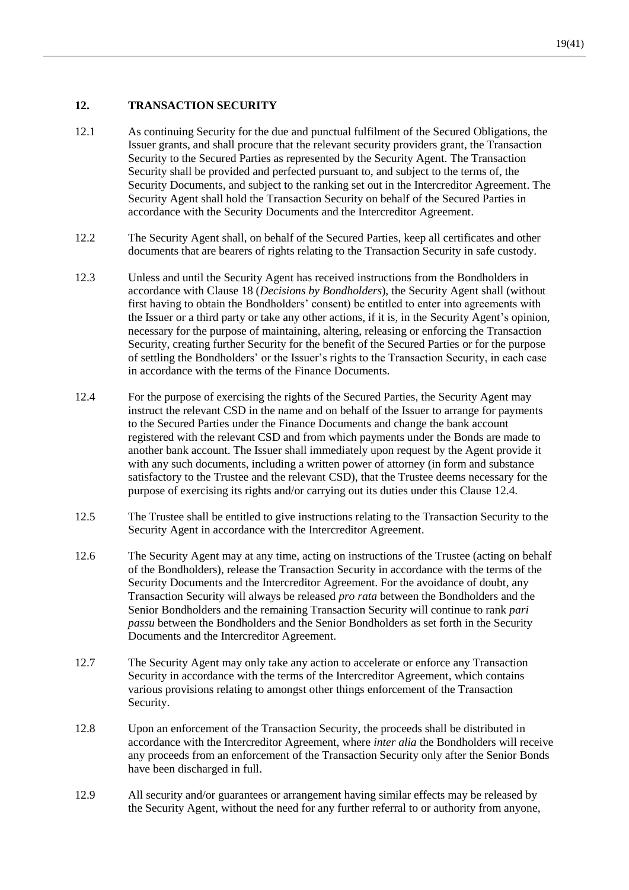# **12. TRANSACTION SECURITY**

- 12.1 As continuing Security for the due and punctual fulfilment of the Secured Obligations, the Issuer grants, and shall procure that the relevant security providers grant, the Transaction Security to the Secured Parties as represented by the Security Agent. The Transaction Security shall be provided and perfected pursuant to, and subject to the terms of, the Security Documents, and subject to the ranking set out in the Intercreditor Agreement. The Security Agent shall hold the Transaction Security on behalf of the Secured Parties in accordance with the Security Documents and the Intercreditor Agreement.
- 12.2 The Security Agent shall, on behalf of the Secured Parties, keep all certificates and other documents that are bearers of rights relating to the Transaction Security in safe custody.
- 12.3 Unless and until the Security Agent has received instructions from the Bondholders in accordance with Clause [18](#page-29-0) (*Decisions by Bondholders*), the Security Agent shall (without first having to obtain the Bondholders' consent) be entitled to enter into agreements with the Issuer or a third party or take any other actions, if it is, in the Security Agent's opinion, necessary for the purpose of maintaining, altering, releasing or enforcing the Transaction Security, creating further Security for the benefit of the Secured Parties or for the purpose of settling the Bondholders' or the Issuer's rights to the Transaction Security, in each case in accordance with the terms of the Finance Documents.
- <span id="page-20-0"></span>12.4 For the purpose of exercising the rights of the Secured Parties, the Security Agent may instruct the relevant CSD in the name and on behalf of the Issuer to arrange for payments to the Secured Parties under the Finance Documents and change the bank account registered with the relevant CSD and from which payments under the Bonds are made to another bank account. The Issuer shall immediately upon request by the Agent provide it with any such documents, including a written power of attorney (in form and substance satisfactory to the Trustee and the relevant CSD), that the Trustee deems necessary for the purpose of exercising its rights and/or carrying out its duties under this Clause [12.4.](#page-20-0)
- 12.5 The Trustee shall be entitled to give instructions relating to the Transaction Security to the Security Agent in accordance with the Intercreditor Agreement.
- 12.6 The Security Agent may at any time, acting on instructions of the Trustee (acting on behalf of the Bondholders), release the Transaction Security in accordance with the terms of the Security Documents and the Intercreditor Agreement. For the avoidance of doubt, any Transaction Security will always be released *pro rata* between the Bondholders and the Senior Bondholders and the remaining Transaction Security will continue to rank *pari passu* between the Bondholders and the Senior Bondholders as set forth in the Security Documents and the Intercreditor Agreement.
- 12.7 The Security Agent may only take any action to accelerate or enforce any Transaction Security in accordance with the terms of the Intercreditor Agreement, which contains various provisions relating to amongst other things enforcement of the Transaction Security.
- 12.8 Upon an enforcement of the Transaction Security, the proceeds shall be distributed in accordance with the Intercreditor Agreement, where *inter alia* the Bondholders will receive any proceeds from an enforcement of the Transaction Security only after the Senior Bonds have been discharged in full.
- 12.9 All security and/or guarantees or arrangement having similar effects may be released by the Security Agent, without the need for any further referral to or authority from anyone,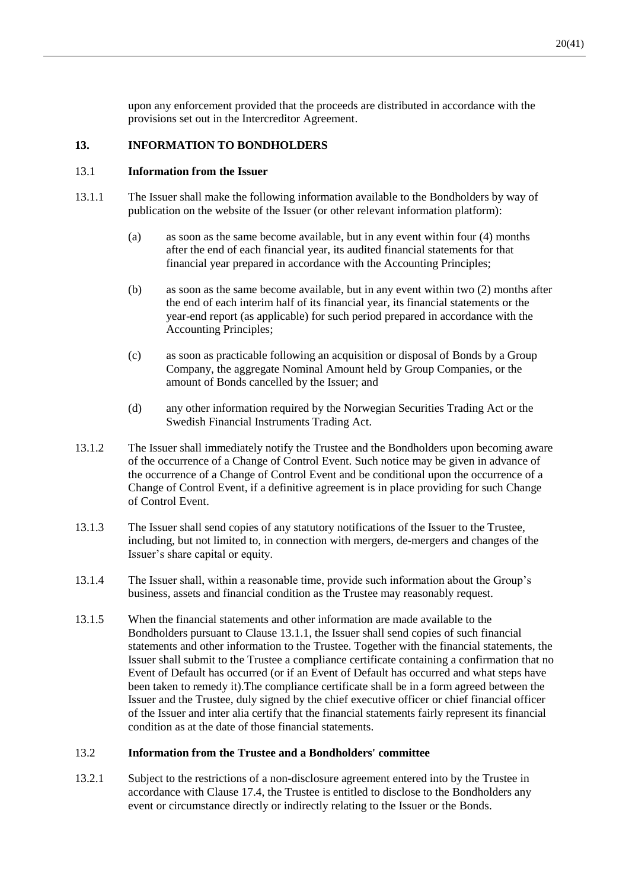upon any enforcement provided that the proceeds are distributed in accordance with the provisions set out in the Intercreditor Agreement.

# **13. INFORMATION TO BONDHOLDERS**

#### 13.1 **Information from the Issuer**

- <span id="page-21-1"></span>13.1.1 The Issuer shall make the following information available to the Bondholders by way of publication on the website of the Issuer (or other relevant information platform):
	- (a) as soon as the same become available, but in any event within four (4) months after the end of each financial year, its audited financial statements for that financial year prepared in accordance with the Accounting Principles;
	- (b) as soon as the same become available, but in any event within two (2) months after the end of each interim half of its financial year, its financial statements or the year-end report (as applicable) for such period prepared in accordance with the Accounting Principles;
	- (c) as soon as practicable following an acquisition or disposal of Bonds by a Group Company, the aggregate Nominal Amount held by Group Companies, or the amount of Bonds cancelled by the Issuer; and
	- (d) any other information required by the Norwegian Securities Trading Act or the Swedish Financial Instruments Trading Act.
- <span id="page-21-0"></span>13.1.2 The Issuer shall immediately notify the Trustee and the Bondholders upon becoming aware of the occurrence of a Change of Control Event. Such notice may be given in advance of the occurrence of a Change of Control Event and be conditional upon the occurrence of a Change of Control Event, if a definitive agreement is in place providing for such Change of Control Event.
- 13.1.3 The Issuer shall send copies of any statutory notifications of the Issuer to the Trustee, including, but not limited to, in connection with mergers, de-mergers and changes of the Issuer's share capital or equity.
- 13.1.4 The Issuer shall, within a reasonable time, provide such information about the Group's business, assets and financial condition as the Trustee may reasonably request.
- 13.1.5 When the financial statements and other information are made available to the Bondholders pursuant to Clause [13.1.1,](#page-21-1) the Issuer shall send copies of such financial statements and other information to the Trustee. Together with the financial statements, the Issuer shall submit to the Trustee a compliance certificate containing a confirmation that no Event of Default has occurred (or if an Event of Default has occurred and what steps have been taken to remedy it).The compliance certificate shall be in a form agreed between the Issuer and the Trustee, duly signed by the chief executive officer or chief financial officer of the Issuer and inter alia certify that the financial statements fairly represent its financial condition as at the date of those financial statements.

#### 13.2 **Information from the Trustee and a Bondholders' committee**

<span id="page-21-2"></span>13.2.1 Subject to the restrictions of a non-disclosure agreement entered into by the Trustee in accordance with Clause [17.4,](#page-28-1) the Trustee is entitled to disclose to the Bondholders any event or circumstance directly or indirectly relating to the Issuer or the Bonds.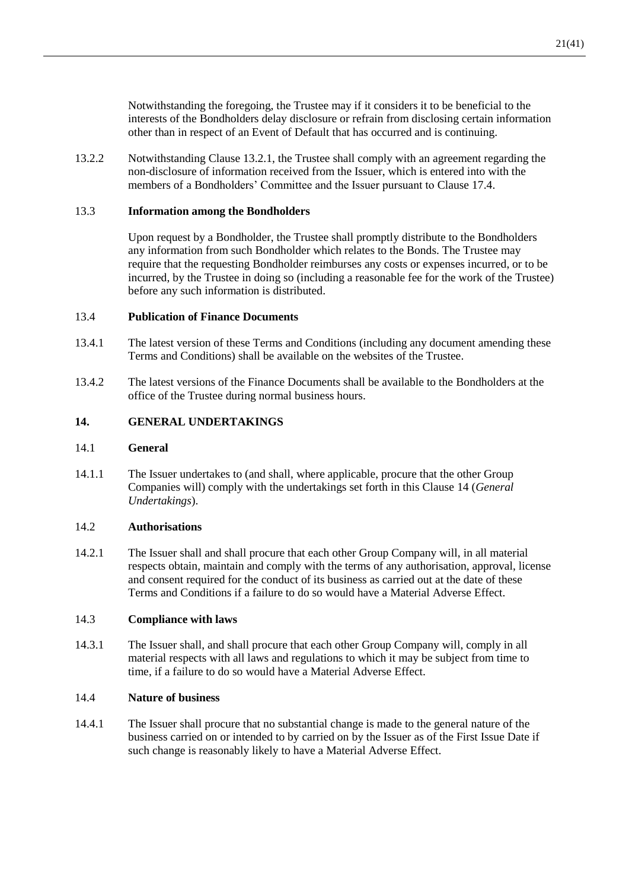Notwithstanding the foregoing, the Trustee may if it considers it to be beneficial to the interests of the Bondholders delay disclosure or refrain from disclosing certain information other than in respect of an Event of Default that has occurred and is continuing.

13.2.2 Notwithstanding Clause [13.2.1,](#page-21-2) the Trustee shall comply with an agreement regarding the non-disclosure of information received from the Issuer, which is entered into with the members of a Bondholders' Committee and the Issuer pursuant to Clause [17.4.](#page-28-1)

#### 13.3 **Information among the Bondholders**

Upon request by a Bondholder, the Trustee shall promptly distribute to the Bondholders any information from such Bondholder which relates to the Bonds. The Trustee may require that the requesting Bondholder reimburses any costs or expenses incurred, or to be incurred, by the Trustee in doing so (including a reasonable fee for the work of the Trustee) before any such information is distributed.

#### <span id="page-22-1"></span>13.4 **Publication of Finance Documents**

- 13.4.1 The latest version of these Terms and Conditions (including any document amending these Terms and Conditions) shall be available on the websites of the Trustee.
- 13.4.2 The latest versions of the Finance Documents shall be available to the Bondholders at the office of the Trustee during normal business hours.

#### <span id="page-22-0"></span>**14. GENERAL UNDERTAKINGS**

#### 14.1 **General**

14.1.1 The Issuer undertakes to (and shall, where applicable, procure that the other Group Companies will) comply with the undertakings set forth in this Clause [14](#page-22-0) (*General Undertakings*).

#### 14.2 **Authorisations**

14.2.1 The Issuer shall and shall procure that each other Group Company will, in all material respects obtain, maintain and comply with the terms of any authorisation, approval, license and consent required for the conduct of its business as carried out at the date of these Terms and Conditions if a failure to do so would have a Material Adverse Effect.

#### 14.3 **Compliance with laws**

14.3.1 The Issuer shall, and shall procure that each other Group Company will, comply in all material respects with all laws and regulations to which it may be subject from time to time, if a failure to do so would have a Material Adverse Effect.

#### 14.4 **Nature of business**

14.4.1 The Issuer shall procure that no substantial change is made to the general nature of the business carried on or intended to by carried on by the Issuer as of the First Issue Date if such change is reasonably likely to have a Material Adverse Effect.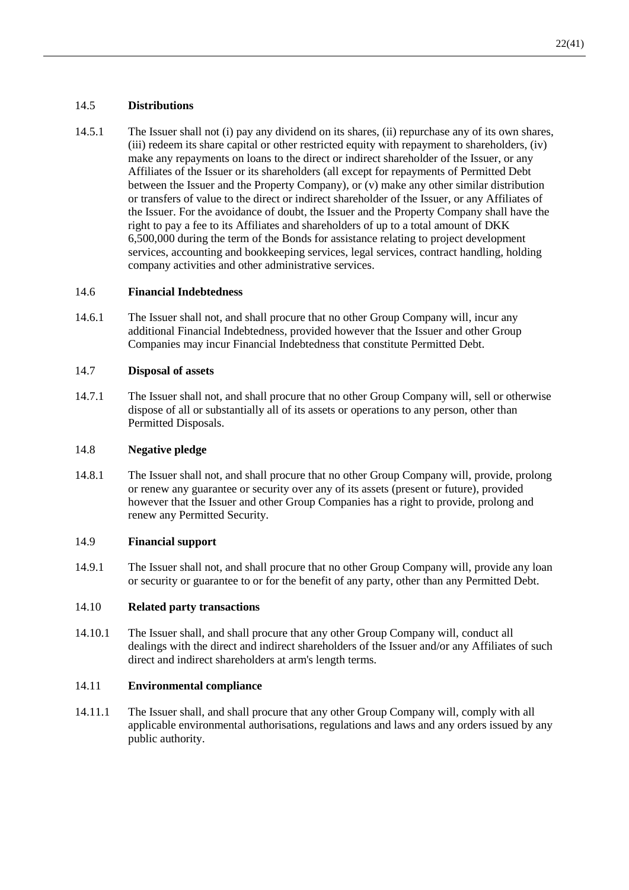# 14.5 **Distributions**

14.5.1 The Issuer shall not (i) pay any dividend on its shares, (ii) repurchase any of its own shares, (iii) redeem its share capital or other restricted equity with repayment to shareholders, (iv) make any repayments on loans to the direct or indirect shareholder of the Issuer, or any Affiliates of the Issuer or its shareholders (all except for repayments of Permitted Debt between the Issuer and the Property Company), or (v) make any other similar distribution or transfers of value to the direct or indirect shareholder of the Issuer, or any Affiliates of the Issuer. For the avoidance of doubt, the Issuer and the Property Company shall have the right to pay a fee to its Affiliates and shareholders of up to a total amount of DKK 6,500,000 during the term of the Bonds for assistance relating to project development services, accounting and bookkeeping services, legal services, contract handling, holding company activities and other administrative services.

## 14.6 **Financial Indebtedness**

14.6.1 The Issuer shall not, and shall procure that no other Group Company will, incur any additional Financial Indebtedness, provided however that the Issuer and other Group Companies may incur Financial Indebtedness that constitute Permitted Debt.

## 14.7 **Disposal of assets**

14.7.1 The Issuer shall not, and shall procure that no other Group Company will, sell or otherwise dispose of all or substantially all of its assets or operations to any person, other than Permitted Disposals.

#### 14.8 **Negative pledge**

14.8.1 The Issuer shall not, and shall procure that no other Group Company will, provide, prolong or renew any guarantee or security over any of its assets (present or future), provided however that the Issuer and other Group Companies has a right to provide, prolong and renew any Permitted Security.

# 14.9 **Financial support**

14.9.1 The Issuer shall not, and shall procure that no other Group Company will, provide any loan or security or guarantee to or for the benefit of any party, other than any Permitted Debt.

# 14.10 **Related party transactions**

14.10.1 The Issuer shall, and shall procure that any other Group Company will, conduct all dealings with the direct and indirect shareholders of the Issuer and/or any Affiliates of such direct and indirect shareholders at arm's length terms.

# 14.11 **Environmental compliance**

14.11.1 The Issuer shall, and shall procure that any other Group Company will, comply with all applicable environmental authorisations, regulations and laws and any orders issued by any public authority.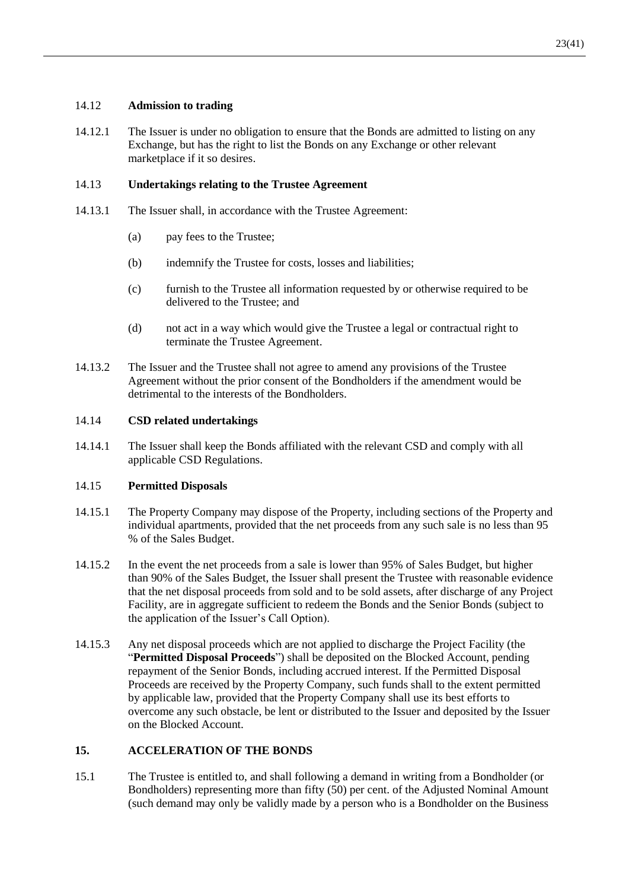## 14.12 **Admission to trading**

14.12.1 The Issuer is under no obligation to ensure that the Bonds are admitted to listing on any Exchange, but has the right to list the Bonds on any Exchange or other relevant marketplace if it so desires.

#### 14.13 **Undertakings relating to the Trustee Agreement**

- 14.13.1 The Issuer shall, in accordance with the Trustee Agreement:
	- (a) pay fees to the Trustee;
	- (b) indemnify the Trustee for costs, losses and liabilities;
	- (c) furnish to the Trustee all information requested by or otherwise required to be delivered to the Trustee; and
	- (d) not act in a way which would give the Trustee a legal or contractual right to terminate the Trustee Agreement.
- 14.13.2 The Issuer and the Trustee shall not agree to amend any provisions of the Trustee Agreement without the prior consent of the Bondholders if the amendment would be detrimental to the interests of the Bondholders.

#### 14.14 **CSD related undertakings**

14.14.1 The Issuer shall keep the Bonds affiliated with the relevant CSD and comply with all applicable CSD Regulations.

#### <span id="page-24-1"></span>14.15 **Permitted Disposals**

- 14.15.1 The Property Company may dispose of the Property, including sections of the Property and individual apartments, provided that the net proceeds from any such sale is no less than 95 % of the Sales Budget.
- 14.15.2 In the event the net proceeds from a sale is lower than 95% of Sales Budget, but higher than 90% of the Sales Budget, the Issuer shall present the Trustee with reasonable evidence that the net disposal proceeds from sold and to be sold assets, after discharge of any Project Facility, are in aggregate sufficient to redeem the Bonds and the Senior Bonds (subject to the application of the Issuer's Call Option).
- 14.15.3 Any net disposal proceeds which are not applied to discharge the Project Facility (the "**Permitted Disposal Proceeds**") shall be deposited on the Blocked Account, pending repayment of the Senior Bonds, including accrued interest. If the Permitted Disposal Proceeds are received by the Property Company, such funds shall to the extent permitted by applicable law, provided that the Property Company shall use its best efforts to overcome any such obstacle, be lent or distributed to the Issuer and deposited by the Issuer on the Blocked Account.

# <span id="page-24-2"></span>**15. ACCELERATION OF THE BONDS**

<span id="page-24-0"></span>15.1 The Trustee is entitled to, and shall following a demand in writing from a Bondholder (or Bondholders) representing more than fifty (50) per cent. of the Adjusted Nominal Amount (such demand may only be validly made by a person who is a Bondholder on the Business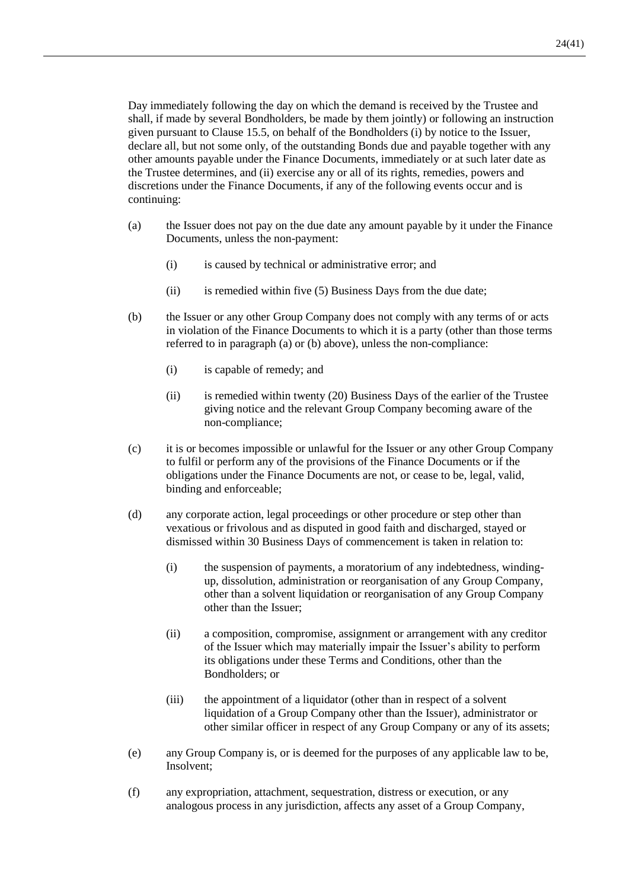Day immediately following the day on which the demand is received by the Trustee and shall, if made by several Bondholders, be made by them jointly) or following an instruction given pursuant to Clause [15.5,](#page-27-1) on behalf of the Bondholders (i) by notice to the Issuer, declare all, but not some only, of the outstanding Bonds due and payable together with any other amounts payable under the Finance Documents, immediately or at such later date as the Trustee determines, and (ii) exercise any or all of its rights, remedies, powers and discretions under the Finance Documents, if any of the following events occur and is continuing:

- (a) the Issuer does not pay on the due date any amount payable by it under the Finance Documents, unless the non-payment:
	- (i) is caused by technical or administrative error; and
	- $(ii)$  is remedied within five  $(5)$  Business Days from the due date;
- (b) the Issuer or any other Group Company does not comply with any terms of or acts in violation of the Finance Documents to which it is a party (other than those terms referred to in paragraph (a) or (b) above), unless the non-compliance:
	- (i) is capable of remedy; and
	- (ii) is remedied within twenty (20) Business Days of the earlier of the Trustee giving notice and the relevant Group Company becoming aware of the non-compliance;
- (c) it is or becomes impossible or unlawful for the Issuer or any other Group Company to fulfil or perform any of the provisions of the Finance Documents or if the obligations under the Finance Documents are not, or cease to be, legal, valid, binding and enforceable;
- (d) any corporate action, legal proceedings or other procedure or step other than vexatious or frivolous and as disputed in good faith and discharged, stayed or dismissed within 30 Business Days of commencement is taken in relation to:
	- (i) the suspension of payments, a moratorium of any indebtedness, windingup, dissolution, administration or reorganisation of any Group Company, other than a solvent liquidation or reorganisation of any Group Company other than the Issuer;
	- (ii) a composition, compromise, assignment or arrangement with any creditor of the Issuer which may materially impair the Issuer's ability to perform its obligations under these Terms and Conditions, other than the Bondholders; or
	- (iii) the appointment of a liquidator (other than in respect of a solvent liquidation of a Group Company other than the Issuer), administrator or other similar officer in respect of any Group Company or any of its assets;
- (e) any Group Company is, or is deemed for the purposes of any applicable law to be, Insolvent;
- (f) any expropriation, attachment, sequestration, distress or execution, or any analogous process in any jurisdiction, affects any asset of a Group Company,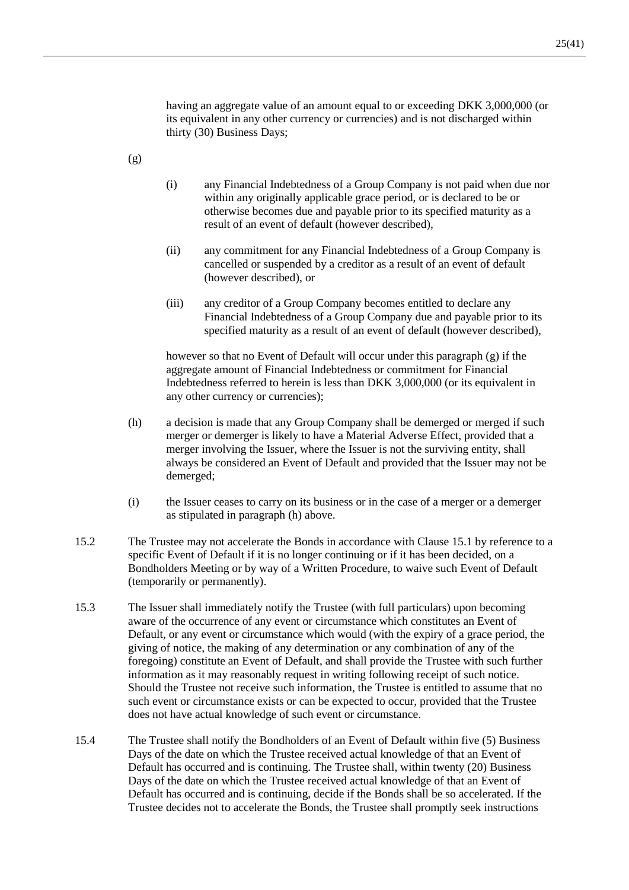having an aggregate value of an amount equal to or exceeding DKK 3,000,000 (or its equivalent in any other currency or currencies) and is not discharged within thirty (30) Business Days;

- <span id="page-26-0"></span>(g)
- (i) any Financial Indebtedness of a Group Company is not paid when due nor within any originally applicable grace period, or is declared to be or otherwise becomes due and payable prior to its specified maturity as a result of an event of default (however described),
- (ii) any commitment for any Financial Indebtedness of a Group Company is cancelled or suspended by a creditor as a result of an event of default (however described), or
- (iii) any creditor of a Group Company becomes entitled to declare any Financial Indebtedness of a Group Company due and payable prior to its specified maturity as a result of an event of default (however described),

however so that no Event of Default will occur under this paragraph [\(g\)](#page-26-0) if the aggregate amount of Financial Indebtedness or commitment for Financial Indebtedness referred to herein is less than DKK 3,000,000 (or its equivalent in any other currency or currencies);

- <span id="page-26-1"></span>(h) a decision is made that any Group Company shall be demerged or merged if such merger or demerger is likely to have a Material Adverse Effect, provided that a merger involving the Issuer, where the Issuer is not the surviving entity, shall always be considered an Event of Default and provided that the Issuer may not be demerged;
- (i) the Issuer ceases to carry on its business or in the case of a merger or a demerger as stipulated in paragraph [\(h\)](#page-26-1) above.
- 15.2 The Trustee may not accelerate the Bonds in accordance with Clause [15.1](#page-24-0) by reference to a specific Event of Default if it is no longer continuing or if it has been decided, on a Bondholders Meeting or by way of a Written Procedure, to waive such Event of Default (temporarily or permanently).
- 15.3 The Issuer shall immediately notify the Trustee (with full particulars) upon becoming aware of the occurrence of any event or circumstance which constitutes an Event of Default, or any event or circumstance which would (with the expiry of a grace period, the giving of notice, the making of any determination or any combination of any of the foregoing) constitute an Event of Default, and shall provide the Trustee with such further information as it may reasonably request in writing following receipt of such notice. Should the Trustee not receive such information, the Trustee is entitled to assume that no such event or circumstance exists or can be expected to occur, provided that the Trustee does not have actual knowledge of such event or circumstance.
- 15.4 The Trustee shall notify the Bondholders of an Event of Default within five (5) Business Days of the date on which the Trustee received actual knowledge of that an Event of Default has occurred and is continuing. The Trustee shall, within twenty (20) Business Days of the date on which the Trustee received actual knowledge of that an Event of Default has occurred and is continuing, decide if the Bonds shall be so accelerated. If the Trustee decides not to accelerate the Bonds, the Trustee shall promptly seek instructions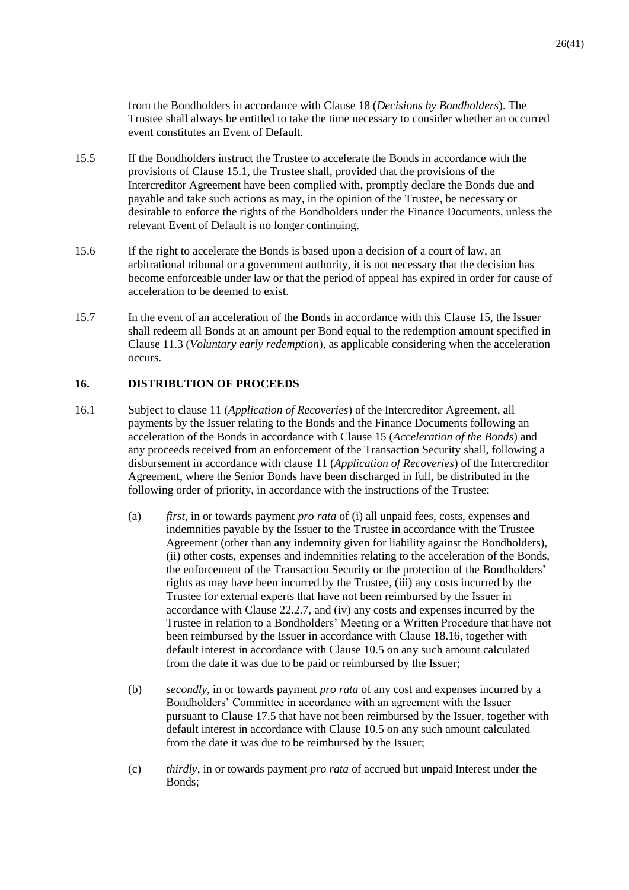from the Bondholders in accordance with Clause [18](#page-29-0) (*Decisions by Bondholders*). The Trustee shall always be entitled to take the time necessary to consider whether an occurred event constitutes an Event of Default.

- <span id="page-27-1"></span>15.5 If the Bondholders instruct the Trustee to accelerate the Bonds in accordance with the provisions of Clause [15.1,](#page-24-0) the Trustee shall, provided that the provisions of the Intercreditor Agreement have been complied with, promptly declare the Bonds due and payable and take such actions as may, in the opinion of the Trustee, be necessary or desirable to enforce the rights of the Bondholders under the Finance Documents, unless the relevant Event of Default is no longer continuing.
- 15.6 If the right to accelerate the Bonds is based upon a decision of a court of law, an arbitrational tribunal or a government authority, it is not necessary that the decision has become enforceable under law or that the period of appeal has expired in order for cause of acceleration to be deemed to exist.
- 15.7 In the event of an acceleration of the Bonds in accordance with this Clause [15,](#page-24-2) the Issuer shall redeem all Bonds at an amount per Bond equal to the redemption amount specified in Clause [11.3](#page-18-5) (*Voluntary early redemption*), as applicable considering when the acceleration occurs.

## <span id="page-27-2"></span>**16. DISTRIBUTION OF PROCEEDS**

- <span id="page-27-0"></span>16.1 Subject to clause 11 (*Application of Recoveries*) of the Intercreditor Agreement, all payments by the Issuer relating to the Bonds and the Finance Documents following an acceleration of the Bonds in accordance with Clause [15](#page-24-2) (*Acceleration of the Bonds*) and any proceeds received from an enforcement of the Transaction Security shall, following a disbursement in accordance with clause 11 (*Application of Recoveries*) of the Intercreditor Agreement, where the Senior Bonds have been discharged in full, be distributed in the following order of priority, in accordance with the instructions of the Trustee:
	- (a) *first*, in or towards payment *pro rata* of (i) all unpaid fees, costs, expenses and indemnities payable by the Issuer to the Trustee in accordance with the Trustee Agreement (other than any indemnity given for liability against the Bondholders), (ii) other costs, expenses and indemnities relating to the acceleration of the Bonds, the enforcement of the Transaction Security or the protection of the Bondholders' rights as may have been incurred by the Trustee, (iii) any costs incurred by the Trustee for external experts that have not been reimbursed by the Issuer in accordance with Clause [22.2.7,](#page-35-0) and (iv) any costs and expenses incurred by the Trustee in relation to a Bondholders' Meeting or a Written Procedure that have not been reimbursed by the Issuer in accordance with Clause [18.16,](#page-31-0) together with default interest in accordance with Clause [10.5](#page-17-3) on any such amount calculated from the date it was due to be paid or reimbursed by the Issuer;
	- (b) *secondly*, in or towards payment *pro rata* of any cost and expenses incurred by a Bondholders' Committee in accordance with an agreement with the Issuer pursuant to Clause [17.5](#page-29-1) that have not been reimbursed by the Issuer, together with default interest in accordance with Clause [10.5](#page-17-3) on any such amount calculated from the date it was due to be reimbursed by the Issuer;
	- (c) *thirdly*, in or towards payment *pro rata* of accrued but unpaid Interest under the Bonds;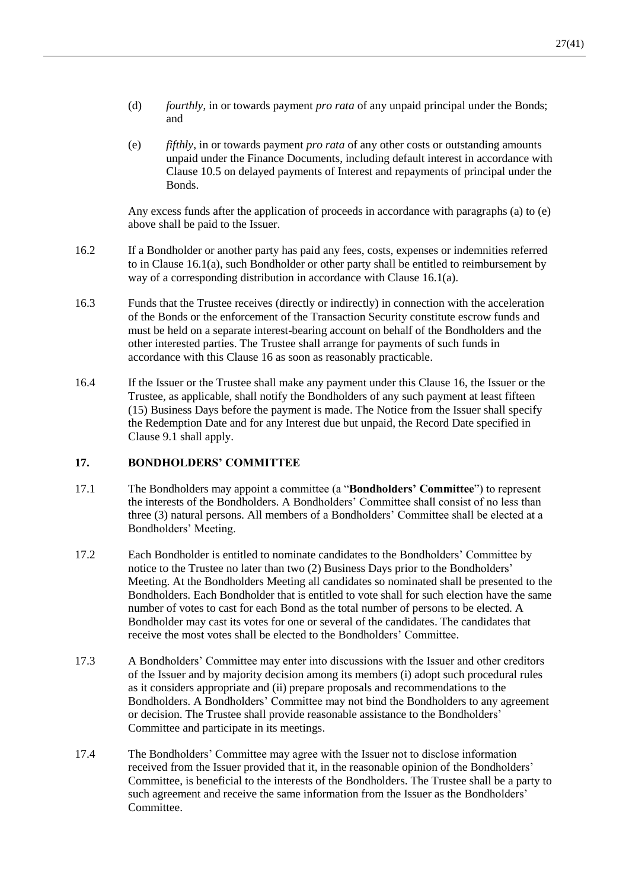- (d) *fourthly*, in or towards payment *pro rata* of any unpaid principal under the Bonds; and
- <span id="page-28-2"></span>(e) *fifthly*, in or towards payment *pro rata* of any other costs or outstanding amounts unpaid under the Finance Documents, including default interest in accordance with Clause [10.5](#page-17-3) on delayed payments of Interest and repayments of principal under the Bonds.

Any excess funds after the application of proceeds in accordance with paragraphs (a) to [\(e\)](#page-28-2) above shall be paid to the Issuer.

- 16.2 If a Bondholder or another party has paid any fees, costs, expenses or indemnities referred to in Clause [16.1\(a\),](#page-27-0) such Bondholder or other party shall be entitled to reimbursement by way of a corresponding distribution in accordance with Clause [16.1\(a\).](#page-27-0)
- 16.3 Funds that the Trustee receives (directly or indirectly) in connection with the acceleration of the Bonds or the enforcement of the Transaction Security constitute escrow funds and must be held on a separate interest-bearing account on behalf of the Bondholders and the other interested parties. The Trustee shall arrange for payments of such funds in accordance with this Clause [16](#page-27-2) as soon as reasonably practicable.
- 16.4 If the Issuer or the Trustee shall make any payment under this Clause [16,](#page-27-2) the Issuer or the Trustee, as applicable, shall notify the Bondholders of any such payment at least fifteen (15) Business Days before the payment is made. The Notice from the Issuer shall specify the Redemption Date and for any Interest due but unpaid, the Record Date specified in Clause [9.1](#page-15-1) shall apply.

#### <span id="page-28-0"></span>**17. BONDHOLDERS' COMMITTEE**

- 17.1 The Bondholders may appoint a committee (a "**Bondholders' Committee**") to represent the interests of the Bondholders. A Bondholders' Committee shall consist of no less than three (3) natural persons. All members of a Bondholders' Committee shall be elected at a Bondholders' Meeting.
- 17.2 Each Bondholder is entitled to nominate candidates to the Bondholders' Committee by notice to the Trustee no later than two (2) Business Days prior to the Bondholders' Meeting. At the Bondholders Meeting all candidates so nominated shall be presented to the Bondholders. Each Bondholder that is entitled to vote shall for such election have the same number of votes to cast for each Bond as the total number of persons to be elected. A Bondholder may cast its votes for one or several of the candidates. The candidates that receive the most votes shall be elected to the Bondholders' Committee.
- 17.3 A Bondholders' Committee may enter into discussions with the Issuer and other creditors of the Issuer and by majority decision among its members (i) adopt such procedural rules as it considers appropriate and (ii) prepare proposals and recommendations to the Bondholders. A Bondholders' Committee may not bind the Bondholders to any agreement or decision. The Trustee shall provide reasonable assistance to the Bondholders' Committee and participate in its meetings.
- <span id="page-28-1"></span>17.4 The Bondholders' Committee may agree with the Issuer not to disclose information received from the Issuer provided that it, in the reasonable opinion of the Bondholders' Committee, is beneficial to the interests of the Bondholders. The Trustee shall be a party to such agreement and receive the same information from the Issuer as the Bondholders' **Committee**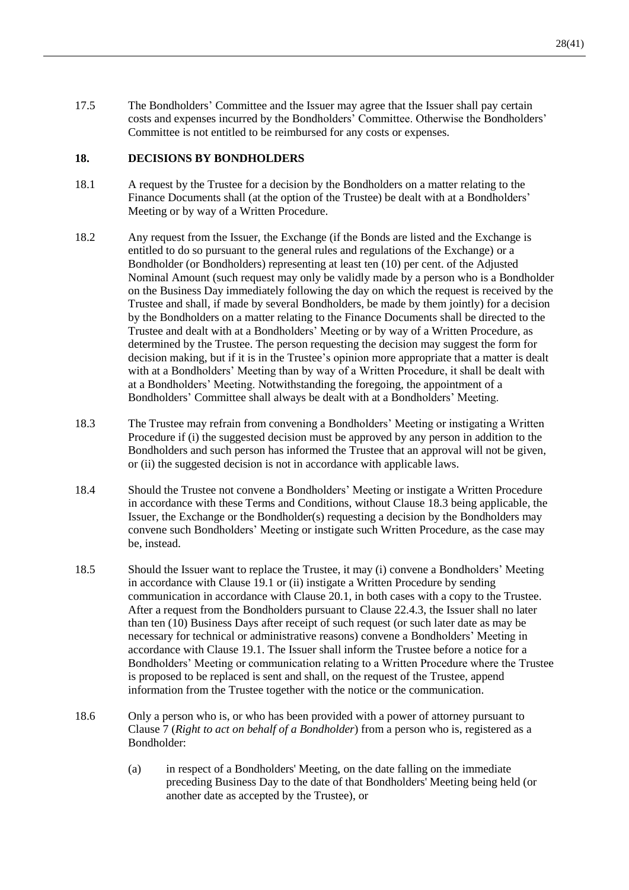<span id="page-29-1"></span>17.5 The Bondholders' Committee and the Issuer may agree that the Issuer shall pay certain costs and expenses incurred by the Bondholders' Committee. Otherwise the Bondholders' Committee is not entitled to be reimbursed for any costs or expenses.

#### <span id="page-29-0"></span>**18. DECISIONS BY BONDHOLDERS**

- 18.1 A request by the Trustee for a decision by the Bondholders on a matter relating to the Finance Documents shall (at the option of the Trustee) be dealt with at a Bondholders' Meeting or by way of a Written Procedure.
- 18.2 Any request from the Issuer, the Exchange (if the Bonds are listed and the Exchange is entitled to do so pursuant to the general rules and regulations of the Exchange) or a Bondholder (or Bondholders) representing at least ten (10) per cent. of the Adjusted Nominal Amount (such request may only be validly made by a person who is a Bondholder on the Business Day immediately following the day on which the request is received by the Trustee and shall, if made by several Bondholders, be made by them jointly) for a decision by the Bondholders on a matter relating to the Finance Documents shall be directed to the Trustee and dealt with at a Bondholders' Meeting or by way of a Written Procedure, as determined by the Trustee. The person requesting the decision may suggest the form for decision making, but if it is in the Trustee's opinion more appropriate that a matter is dealt with at a Bondholders' Meeting than by way of a Written Procedure, it shall be dealt with at a Bondholders' Meeting. Notwithstanding the foregoing, the appointment of a Bondholders' Committee shall always be dealt with at a Bondholders' Meeting.
- <span id="page-29-2"></span>18.3 The Trustee may refrain from convening a Bondholders' Meeting or instigating a Written Procedure if (i) the suggested decision must be approved by any person in addition to the Bondholders and such person has informed the Trustee that an approval will not be given, or (ii) the suggested decision is not in accordance with applicable laws.
- <span id="page-29-3"></span>18.4 Should the Trustee not convene a Bondholders' Meeting or instigate a Written Procedure in accordance with these Terms and Conditions, without Clause [18.3](#page-29-2) being applicable, the Issuer, the Exchange or the Bondholder(s) requesting a decision by the Bondholders may convene such Bondholders' Meeting or instigate such Written Procedure, as the case may be, instead.
- 18.5 Should the Issuer want to replace the Trustee, it may (i) convene a Bondholders' Meeting in accordance with Clause [19.1](#page-32-1) or (ii) instigate a Written Procedure by sending communication in accordance with Clause [20.1,](#page-33-1) in both cases with a copy to the Trustee. After a request from the Bondholders pursuant to Clause [22.4.3,](#page-37-0) the Issuer shall no later than ten (10) Business Days after receipt of such request (or such later date as may be necessary for technical or administrative reasons) convene a Bondholders' Meeting in accordance with Clause [19.1.](#page-32-1) The Issuer shall inform the Trustee before a notice for a Bondholders' Meeting or communication relating to a Written Procedure where the Trustee is proposed to be replaced is sent and shall, on the request of the Trustee, append information from the Trustee together with the notice or the communication.
- 18.6 Only a person who is, or who has been provided with a power of attorney pursuant to Clause [7](#page-14-3) (*Right to act on behalf of a Bondholder*) from a person who is, registered as a Bondholder:
	- (a) in respect of a Bondholders' Meeting, on the date falling on the immediate preceding Business Day to the date of that Bondholders' Meeting being held (or another date as accepted by the Trustee), or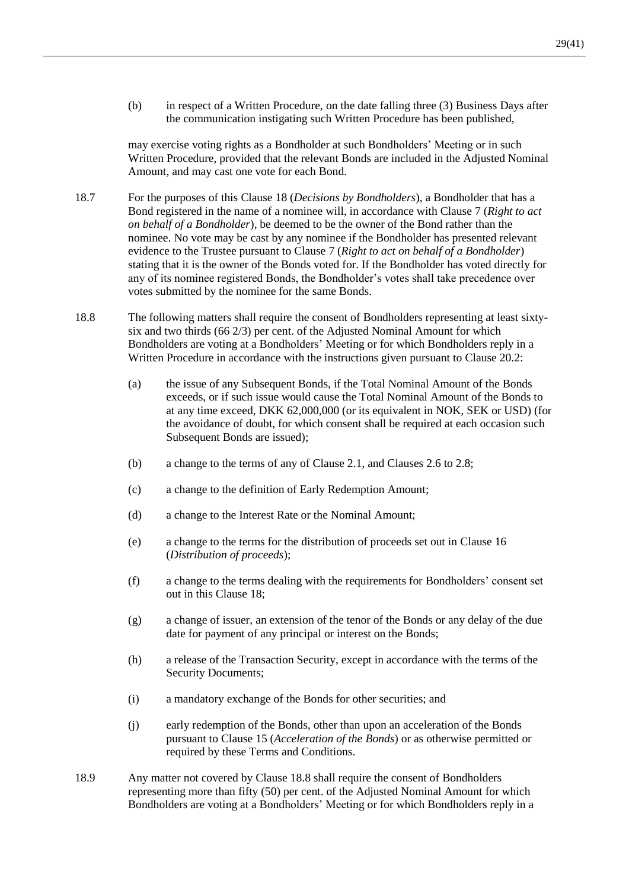(b) in respect of a Written Procedure, on the date falling three (3) Business Days after the communication instigating such Written Procedure has been published,

may exercise voting rights as a Bondholder at such Bondholders' Meeting or in such Written Procedure, provided that the relevant Bonds are included in the Adjusted Nominal Amount, and may cast one vote for each Bond.

- 18.7 For the purposes of this Claus[e 18](#page-29-0) (*Decisions by Bondholders*), a Bondholder that has a Bond registered in the name of a nominee will, in accordance with Clause [7](#page-14-3) (*Right to act on behalf of a Bondholder*), be deemed to be the owner of the Bond rather than the nominee. No vote may be cast by any nominee if the Bondholder has presented relevant evidence to the Trustee pursuant to Clause [7](#page-14-3) (*Right to act on behalf of a Bondholder*) stating that it is the owner of the Bonds voted for. If the Bondholder has voted directly for any of its nominee registered Bonds, the Bondholder's votes shall take precedence over votes submitted by the nominee for the same Bonds.
- <span id="page-30-0"></span>18.8 The following matters shall require the consent of Bondholders representing at least sixtysix and two thirds (66 2/3) per cent. of the Adjusted Nominal Amount for which Bondholders are voting at a Bondholders' Meeting or for which Bondholders reply in a Written Procedure in accordance with the instructions given pursuant to Clause [20.2:](#page-33-2)
	- (a) the issue of any Subsequent Bonds, if the Total Nominal Amount of the Bonds exceeds, or if such issue would cause the Total Nominal Amount of the Bonds to at any time exceed, DKK 62,000,000 (or its equivalent in NOK, SEK or USD) (for the avoidance of doubt, for which consent shall be required at each occasion such Subsequent Bonds are issued);
	- (b) a change to the terms of any of Clause [2.1,](#page-10-2) and Clauses [2.6](#page-11-1) to [2.8;](#page-11-2)
	- (c) a change to the definition of Early Redemption Amount;
	- (d) a change to the Interest Rate or the Nominal Amount;
	- (e) a change to the terms for the distribution of proceeds set out in Clause [16](#page-27-2) (*Distribution of proceeds*);
	- (f) a change to the terms dealing with the requirements for Bondholders' consent set out in this Clause [18;](#page-29-0)
	- (g) a change of issuer, an extension of the tenor of the Bonds or any delay of the due date for payment of any principal or interest on the Bonds;
	- (h) a release of the Transaction Security, except in accordance with the terms of the Security Documents;
	- (i) a mandatory exchange of the Bonds for other securities; and
	- (j) early redemption of the Bonds, other than upon an acceleration of the Bonds pursuant to Clause [15](#page-24-2) (*Acceleration of the Bonds*) or as otherwise permitted or required by these Terms and Conditions.
- <span id="page-30-1"></span>18.9 Any matter not covered by Clause [18.8](#page-30-0) shall require the consent of Bondholders representing more than fifty (50) per cent. of the Adjusted Nominal Amount for which Bondholders are voting at a Bondholders' Meeting or for which Bondholders reply in a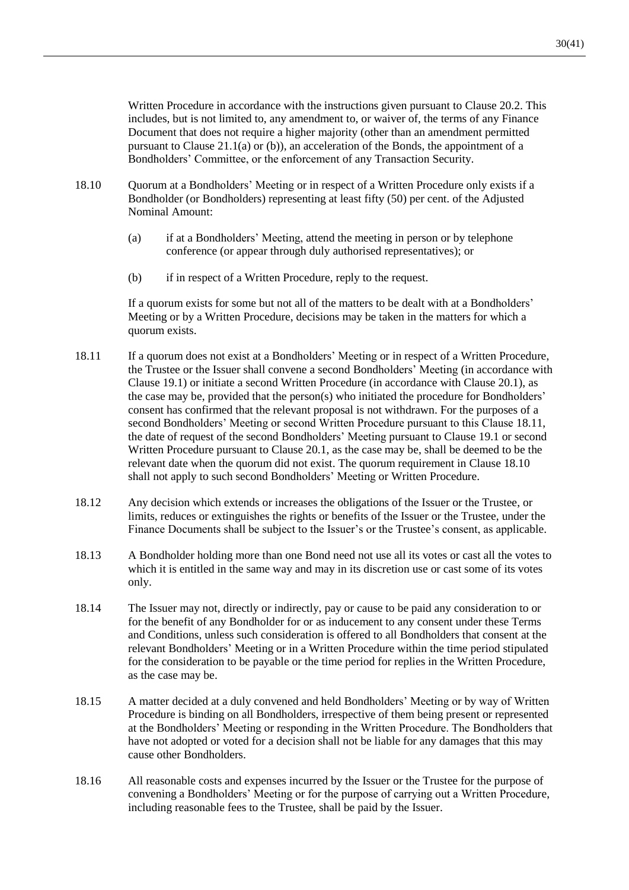Written Procedure in accordance with the instructions given pursuant to Clause [20.2.](#page-33-2) This includes, but is not limited to, any amendment to, or waiver of, the terms of any Finance Document that does not require a higher majority (other than an amendment permitted pursuant to Clause [21.1\(a\)](#page-33-3) or [\(b\)\)](#page-33-4), an acceleration of the Bonds, the appointment of a Bondholders' Committee, or the enforcement of any Transaction Security.

- <span id="page-31-2"></span>18.10 Quorum at a Bondholders' Meeting or in respect of a Written Procedure only exists if a Bondholder (or Bondholders) representing at least fifty (50) per cent. of the Adjusted Nominal Amount:
	- (a) if at a Bondholders' Meeting, attend the meeting in person or by telephone conference (or appear through duly authorised representatives); or
	- (b) if in respect of a Written Procedure, reply to the request.

If a quorum exists for some but not all of the matters to be dealt with at a Bondholders' Meeting or by a Written Procedure, decisions may be taken in the matters for which a quorum exists.

- <span id="page-31-1"></span>18.11 If a quorum does not exist at a Bondholders' Meeting or in respect of a Written Procedure, the Trustee or the Issuer shall convene a second Bondholders' Meeting (in accordance with Clause [19.1\)](#page-32-1) or initiate a second Written Procedure (in accordance with Clause [20.1\)](#page-33-1), as the case may be, provided that the person(s) who initiated the procedure for Bondholders' consent has confirmed that the relevant proposal is not withdrawn. For the purposes of a second Bondholders' Meeting or second Written Procedure pursuant to this Clause [18.11,](#page-31-1) the date of request of the second Bondholders' Meeting pursuant to Clause [19.1](#page-32-1) or second Written Procedure pursuant to Claus[e 20.1,](#page-33-1) as the case may be, shall be deemed to be the relevant date when the quorum did not exist. The quorum requirement in Clause [18.10](#page-31-2) shall not apply to such second Bondholders' Meeting or Written Procedure.
- 18.12 Any decision which extends or increases the obligations of the Issuer or the Trustee, or limits, reduces or extinguishes the rights or benefits of the Issuer or the Trustee, under the Finance Documents shall be subject to the Issuer's or the Trustee's consent, as applicable.
- 18.13 A Bondholder holding more than one Bond need not use all its votes or cast all the votes to which it is entitled in the same way and may in its discretion use or cast some of its votes only.
- 18.14 The Issuer may not, directly or indirectly, pay or cause to be paid any consideration to or for the benefit of any Bondholder for or as inducement to any consent under these Terms and Conditions, unless such consideration is offered to all Bondholders that consent at the relevant Bondholders' Meeting or in a Written Procedure within the time period stipulated for the consideration to be payable or the time period for replies in the Written Procedure, as the case may be.
- 18.15 A matter decided at a duly convened and held Bondholders' Meeting or by way of Written Procedure is binding on all Bondholders, irrespective of them being present or represented at the Bondholders' Meeting or responding in the Written Procedure. The Bondholders that have not adopted or voted for a decision shall not be liable for any damages that this may cause other Bondholders.
- <span id="page-31-0"></span>18.16 All reasonable costs and expenses incurred by the Issuer or the Trustee for the purpose of convening a Bondholders' Meeting or for the purpose of carrying out a Written Procedure, including reasonable fees to the Trustee, shall be paid by the Issuer.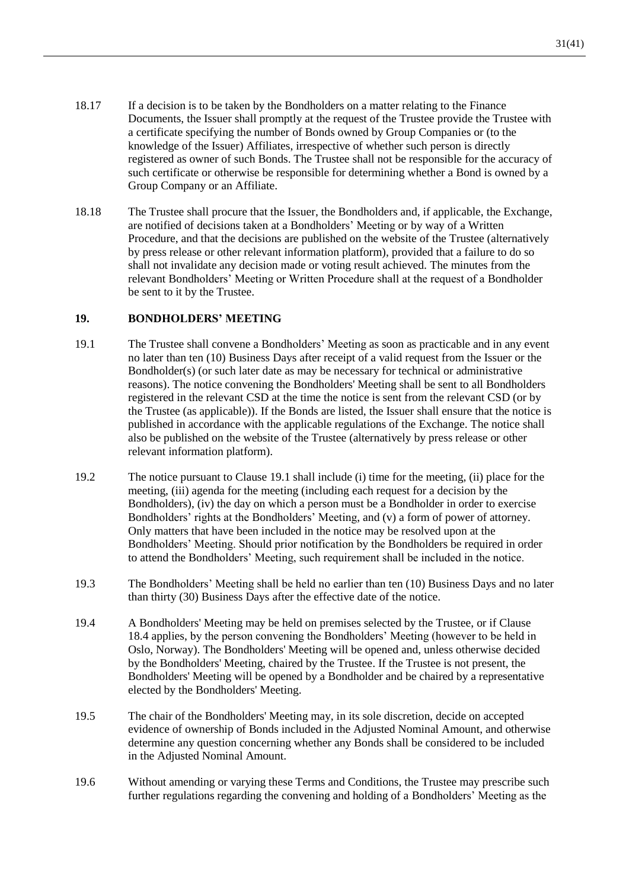- 18.17 If a decision is to be taken by the Bondholders on a matter relating to the Finance Documents, the Issuer shall promptly at the request of the Trustee provide the Trustee with a certificate specifying the number of Bonds owned by Group Companies or (to the knowledge of the Issuer) Affiliates, irrespective of whether such person is directly registered as owner of such Bonds. The Trustee shall not be responsible for the accuracy of such certificate or otherwise be responsible for determining whether a Bond is owned by a Group Company or an Affiliate.
- 18.18 The Trustee shall procure that the Issuer, the Bondholders and, if applicable, the Exchange, are notified of decisions taken at a Bondholders' Meeting or by way of a Written Procedure, and that the decisions are published on the website of the Trustee (alternatively by press release or other relevant information platform), provided that a failure to do so shall not invalidate any decision made or voting result achieved. The minutes from the relevant Bondholders' Meeting or Written Procedure shall at the request of a Bondholder be sent to it by the Trustee.

## <span id="page-32-0"></span>**19. BONDHOLDERS' MEETING**

- <span id="page-32-1"></span>19.1 The Trustee shall convene a Bondholders' Meeting as soon as practicable and in any event no later than ten (10) Business Days after receipt of a valid request from the Issuer or the Bondholder(s) (or such later date as may be necessary for technical or administrative reasons). The notice convening the Bondholders' Meeting shall be sent to all Bondholders registered in the relevant CSD at the time the notice is sent from the relevant CSD (or by the Trustee (as applicable)). If the Bonds are listed, the Issuer shall ensure that the notice is published in accordance with the applicable regulations of the Exchange. The notice shall also be published on the website of the Trustee (alternatively by press release or other relevant information platform).
- 19.2 The notice pursuant to Clause [19.1](#page-32-1) shall include (i) time for the meeting, (ii) place for the meeting, (iii) agenda for the meeting (including each request for a decision by the Bondholders), (iv) the day on which a person must be a Bondholder in order to exercise Bondholders' rights at the Bondholders' Meeting, and (v) a form of power of attorney. Only matters that have been included in the notice may be resolved upon at the Bondholders' Meeting. Should prior notification by the Bondholders be required in order to attend the Bondholders' Meeting, such requirement shall be included in the notice.
- 19.3 The Bondholders' Meeting shall be held no earlier than ten (10) Business Days and no later than thirty (30) Business Days after the effective date of the notice.
- 19.4 A Bondholders' Meeting may be held on premises selected by the Trustee, or if Clause [18.4](#page-29-3) applies, by the person convening the Bondholders' Meeting (however to be held in Oslo, Norway). The Bondholders' Meeting will be opened and, unless otherwise decided by the Bondholders' Meeting, chaired by the Trustee. If the Trustee is not present, the Bondholders' Meeting will be opened by a Bondholder and be chaired by a representative elected by the Bondholders' Meeting.
- 19.5 The chair of the Bondholders' Meeting may, in its sole discretion, decide on accepted evidence of ownership of Bonds included in the Adjusted Nominal Amount, and otherwise determine any question concerning whether any Bonds shall be considered to be included in the Adjusted Nominal Amount.
- 19.6 Without amending or varying these Terms and Conditions, the Trustee may prescribe such further regulations regarding the convening and holding of a Bondholders' Meeting as the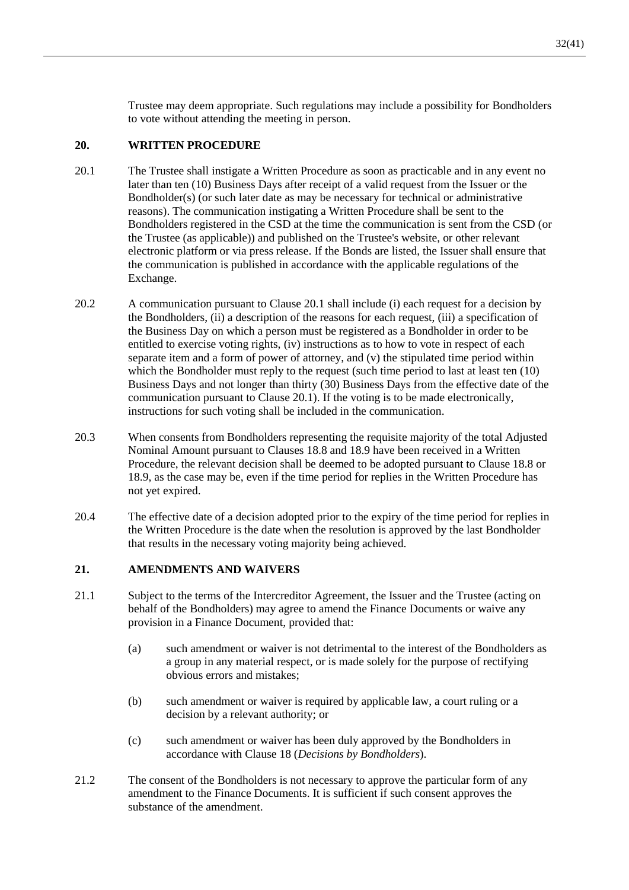Trustee may deem appropriate. Such regulations may include a possibility for Bondholders to vote without attending the meeting in person.

## <span id="page-33-0"></span>**20. WRITTEN PROCEDURE**

- <span id="page-33-1"></span>20.1 The Trustee shall instigate a Written Procedure as soon as practicable and in any event no later than ten (10) Business Days after receipt of a valid request from the Issuer or the Bondholder(s) (or such later date as may be necessary for technical or administrative reasons). The communication instigating a Written Procedure shall be sent to the Bondholders registered in the CSD at the time the communication is sent from the CSD (or the Trustee (as applicable)) and published on the Trustee's website, or other relevant electronic platform or via press release. If the Bonds are listed, the Issuer shall ensure that the communication is published in accordance with the applicable regulations of the Exchange.
- <span id="page-33-2"></span>20.2 A communication pursuant to Clause [20.1](#page-33-1) shall include (i) each request for a decision by the Bondholders, (ii) a description of the reasons for each request, (iii) a specification of the Business Day on which a person must be registered as a Bondholder in order to be entitled to exercise voting rights, (iv) instructions as to how to vote in respect of each separate item and a form of power of attorney, and (v) the stipulated time period within which the Bondholder must reply to the request (such time period to last at least ten (10) Business Days and not longer than thirty (30) Business Days from the effective date of the communication pursuant to Clause [20.1\)](#page-33-1). If the voting is to be made electronically, instructions for such voting shall be included in the communication.
- 20.3 When consents from Bondholders representing the requisite majority of the total Adjusted Nominal Amount pursuant to Clauses [18.8](#page-30-0) and [18.9](#page-30-1) have been received in a Written Procedure, the relevant decision shall be deemed to be adopted pursuant to Clause [18.8](#page-30-0) or [18.9,](#page-30-1) as the case may be, even if the time period for replies in the Written Procedure has not yet expired.
- 20.4 The effective date of a decision adopted prior to the expiry of the time period for replies in the Written Procedure is the date when the resolution is approved by the last Bondholder that results in the necessary voting majority being achieved.

#### **21. AMENDMENTS AND WAIVERS**

- <span id="page-33-3"></span>21.1 Subject to the terms of the Intercreditor Agreement, the Issuer and the Trustee (acting on behalf of the Bondholders) may agree to amend the Finance Documents or waive any provision in a Finance Document, provided that:
	- (a) such amendment or waiver is not detrimental to the interest of the Bondholders as a group in any material respect, or is made solely for the purpose of rectifying obvious errors and mistakes;
	- (b) such amendment or waiver is required by applicable law, a court ruling or a decision by a relevant authority; or
	- (c) such amendment or waiver has been duly approved by the Bondholders in accordance with Clause [18](#page-29-0) (*Decisions by Bondholders*).
- <span id="page-33-4"></span>21.2 The consent of the Bondholders is not necessary to approve the particular form of any amendment to the Finance Documents. It is sufficient if such consent approves the substance of the amendment.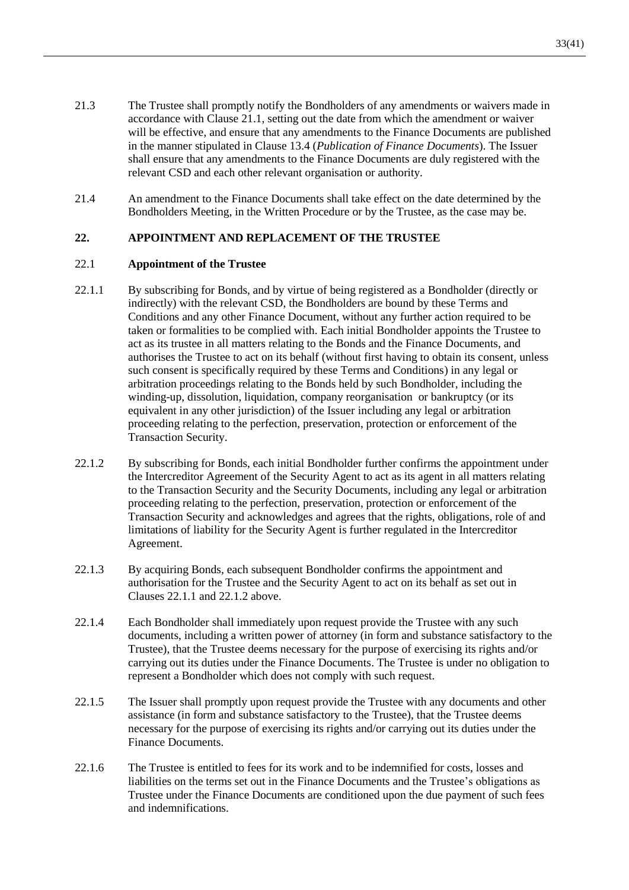- 21.3 The Trustee shall promptly notify the Bondholders of any amendments or waivers made in accordance with Clause [21.1,](#page-33-3) setting out the date from which the amendment or waiver will be effective, and ensure that any amendments to the Finance Documents are published in the manner stipulated in Clause [13.4](#page-22-1) (*Publication of Finance Documents*). The Issuer shall ensure that any amendments to the Finance Documents are duly registered with the relevant CSD and each other relevant organisation or authority.
- 21.4 An amendment to the Finance Documents shall take effect on the date determined by the Bondholders Meeting, in the Written Procedure or by the Trustee, as the case may be.

## **22. APPOINTMENT AND REPLACEMENT OF THE TRUSTEE**

#### 22.1 **Appointment of the Trustee**

- <span id="page-34-0"></span>22.1.1 By subscribing for Bonds, and by virtue of being registered as a Bondholder (directly or indirectly) with the relevant CSD, the Bondholders are bound by these Terms and Conditions and any other Finance Document, without any further action required to be taken or formalities to be complied with. Each initial Bondholder appoints the Trustee to act as its trustee in all matters relating to the Bonds and the Finance Documents, and authorises the Trustee to act on its behalf (without first having to obtain its consent, unless such consent is specifically required by these Terms and Conditions) in any legal or arbitration proceedings relating to the Bonds held by such Bondholder, including the winding-up, dissolution, liquidation, company reorganisation or bankruptcy (or its equivalent in any other jurisdiction) of the Issuer including any legal or arbitration proceeding relating to the perfection, preservation, protection or enforcement of the Transaction Security.
- <span id="page-34-1"></span>22.1.2 By subscribing for Bonds, each initial Bondholder further confirms the appointment under the Intercreditor Agreement of the Security Agent to act as its agent in all matters relating to the Transaction Security and the Security Documents, including any legal or arbitration proceeding relating to the perfection, preservation, protection or enforcement of the Transaction Security and acknowledges and agrees that the rights, obligations, role of and limitations of liability for the Security Agent is further regulated in the Intercreditor Agreement.
- 22.1.3 By acquiring Bonds, each subsequent Bondholder confirms the appointment and authorisation for the Trustee and the Security Agent to act on its behalf as set out in Clauses [22.1.1](#page-34-0) and [22.1.2](#page-34-1) above.
- <span id="page-34-2"></span>22.1.4 Each Bondholder shall immediately upon request provide the Trustee with any such documents, including a written power of attorney (in form and substance satisfactory to the Trustee), that the Trustee deems necessary for the purpose of exercising its rights and/or carrying out its duties under the Finance Documents. The Trustee is under no obligation to represent a Bondholder which does not comply with such request.
- 22.1.5 The Issuer shall promptly upon request provide the Trustee with any documents and other assistance (in form and substance satisfactory to the Trustee), that the Trustee deems necessary for the purpose of exercising its rights and/or carrying out its duties under the Finance Documents.
- 22.1.6 The Trustee is entitled to fees for its work and to be indemnified for costs, losses and liabilities on the terms set out in the Finance Documents and the Trustee's obligations as Trustee under the Finance Documents are conditioned upon the due payment of such fees and indemnifications.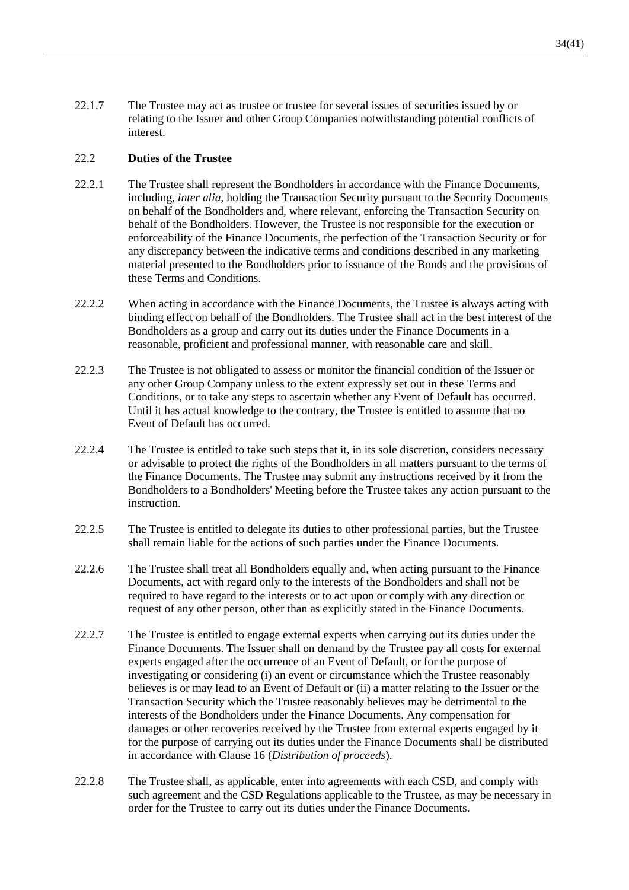22.1.7 The Trustee may act as trustee or trustee for several issues of securities issued by or relating to the Issuer and other Group Companies notwithstanding potential conflicts of interest.

## 22.2 **Duties of the Trustee**

- 22.2.1 The Trustee shall represent the Bondholders in accordance with the Finance Documents, including, *inter alia*, holding the Transaction Security pursuant to the Security Documents on behalf of the Bondholders and, where relevant, enforcing the Transaction Security on behalf of the Bondholders. However, the Trustee is not responsible for the execution or enforceability of the Finance Documents, the perfection of the Transaction Security or for any discrepancy between the indicative terms and conditions described in any marketing material presented to the Bondholders prior to issuance of the Bonds and the provisions of these Terms and Conditions.
- 22.2.2 When acting in accordance with the Finance Documents, the Trustee is always acting with binding effect on behalf of the Bondholders. The Trustee shall act in the best interest of the Bondholders as a group and carry out its duties under the Finance Documents in a reasonable, proficient and professional manner, with reasonable care and skill.
- 22.2.3 The Trustee is not obligated to assess or monitor the financial condition of the Issuer or any other Group Company unless to the extent expressly set out in these Terms and Conditions, or to take any steps to ascertain whether any Event of Default has occurred. Until it has actual knowledge to the contrary, the Trustee is entitled to assume that no Event of Default has occurred.
- 22.2.4 The Trustee is entitled to take such steps that it, in its sole discretion, considers necessary or advisable to protect the rights of the Bondholders in all matters pursuant to the terms of the Finance Documents. The Trustee may submit any instructions received by it from the Bondholders to a Bondholders' Meeting before the Trustee takes any action pursuant to the instruction.
- 22.2.5 The Trustee is entitled to delegate its duties to other professional parties, but the Trustee shall remain liable for the actions of such parties under the Finance Documents.
- 22.2.6 The Trustee shall treat all Bondholders equally and, when acting pursuant to the Finance Documents, act with regard only to the interests of the Bondholders and shall not be required to have regard to the interests or to act upon or comply with any direction or request of any other person, other than as explicitly stated in the Finance Documents.
- <span id="page-35-0"></span>22.2.7 The Trustee is entitled to engage external experts when carrying out its duties under the Finance Documents. The Issuer shall on demand by the Trustee pay all costs for external experts engaged after the occurrence of an Event of Default, or for the purpose of investigating or considering (i) an event or circumstance which the Trustee reasonably believes is or may lead to an Event of Default or (ii) a matter relating to the Issuer or the Transaction Security which the Trustee reasonably believes may be detrimental to the interests of the Bondholders under the Finance Documents. Any compensation for damages or other recoveries received by the Trustee from external experts engaged by it for the purpose of carrying out its duties under the Finance Documents shall be distributed in accordance with Clause [16](#page-27-2) (*Distribution of proceeds*).
- 22.2.8 The Trustee shall, as applicable, enter into agreements with each CSD, and comply with such agreement and the CSD Regulations applicable to the Trustee, as may be necessary in order for the Trustee to carry out its duties under the Finance Documents.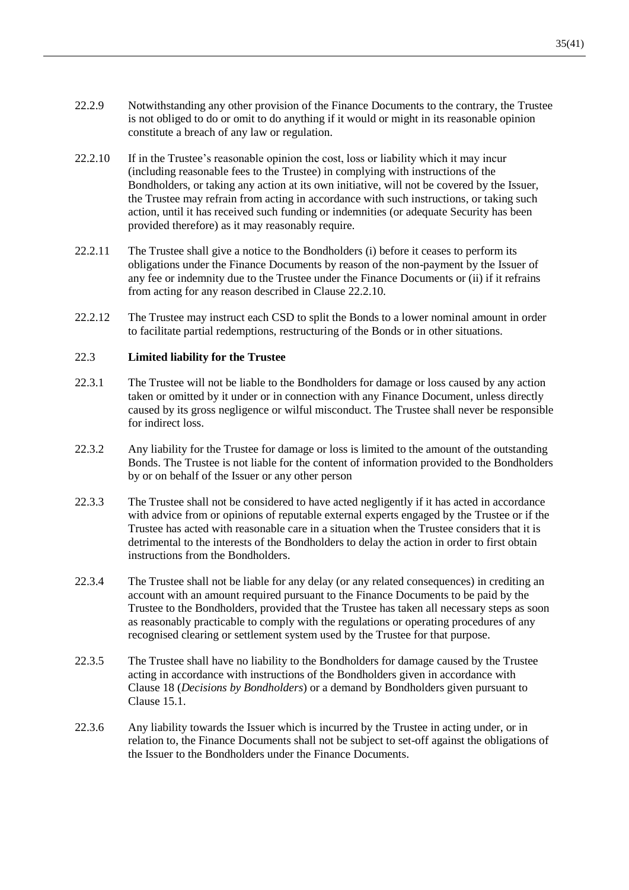- 22.2.9 Notwithstanding any other provision of the Finance Documents to the contrary, the Trustee is not obliged to do or omit to do anything if it would or might in its reasonable opinion constitute a breach of any law or regulation.
- <span id="page-36-1"></span>22.2.10 If in the Trustee's reasonable opinion the cost, loss or liability which it may incur (including reasonable fees to the Trustee) in complying with instructions of the Bondholders, or taking any action at its own initiative, will not be covered by the Issuer, the Trustee may refrain from acting in accordance with such instructions, or taking such action, until it has received such funding or indemnities (or adequate Security has been provided therefore) as it may reasonably require.
- <span id="page-36-2"></span>22.2.11 The Trustee shall give a notice to the Bondholders (i) before it ceases to perform its obligations under the Finance Documents by reason of the non-payment by the Issuer of any fee or indemnity due to the Trustee under the Finance Documents or (ii) if it refrains from acting for any reason described in Clause [22.2.10.](#page-36-1)
- <span id="page-36-0"></span>22.2.12 The Trustee may instruct each CSD to split the Bonds to a lower nominal amount in order to facilitate partial redemptions, restructuring of the Bonds or in other situations.

#### 22.3 **Limited liability for the Trustee**

- 22.3.1 The Trustee will not be liable to the Bondholders for damage or loss caused by any action taken or omitted by it under or in connection with any Finance Document, unless directly caused by its gross negligence or wilful misconduct. The Trustee shall never be responsible for indirect loss.
- 22.3.2 Any liability for the Trustee for damage or loss is limited to the amount of the outstanding Bonds. The Trustee is not liable for the content of information provided to the Bondholders by or on behalf of the Issuer or any other person
- 22.3.3 The Trustee shall not be considered to have acted negligently if it has acted in accordance with advice from or opinions of reputable external experts engaged by the Trustee or if the Trustee has acted with reasonable care in a situation when the Trustee considers that it is detrimental to the interests of the Bondholders to delay the action in order to first obtain instructions from the Bondholders.
- 22.3.4 The Trustee shall not be liable for any delay (or any related consequences) in crediting an account with an amount required pursuant to the Finance Documents to be paid by the Trustee to the Bondholders, provided that the Trustee has taken all necessary steps as soon as reasonably practicable to comply with the regulations or operating procedures of any recognised clearing or settlement system used by the Trustee for that purpose.
- 22.3.5 The Trustee shall have no liability to the Bondholders for damage caused by the Trustee acting in accordance with instructions of the Bondholders given in accordance with Clause [18](#page-29-0) (*Decisions by Bondholders*) or a demand by Bondholders given pursuant to Clause [15.1.](#page-24-0)
- 22.3.6 Any liability towards the Issuer which is incurred by the Trustee in acting under, or in relation to, the Finance Documents shall not be subject to set-off against the obligations of the Issuer to the Bondholders under the Finance Documents.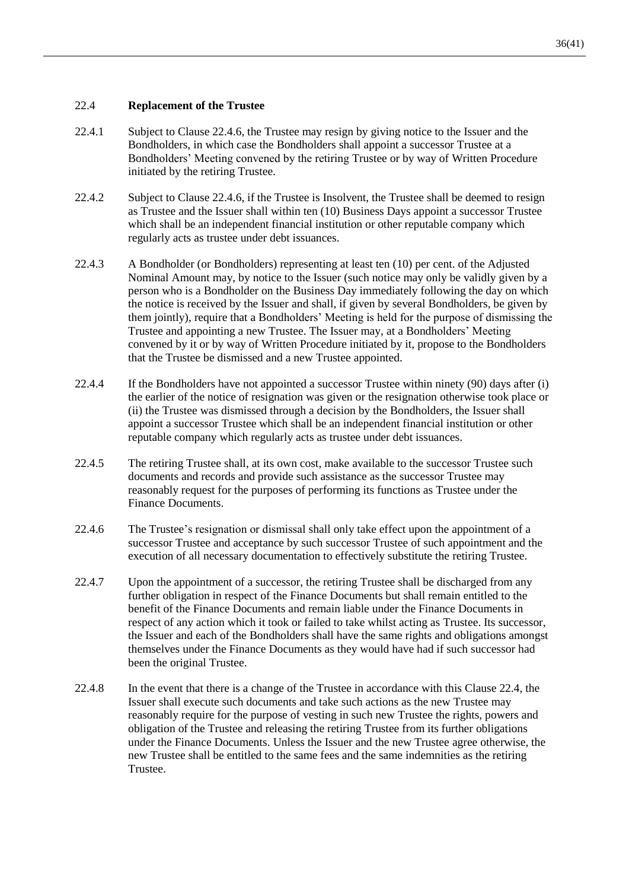#### <span id="page-37-2"></span>22.4 **Replacement of the Trustee**

- 22.4.1 Subject to Clause [22.4.6,](#page-37-1) the Trustee may resign by giving notice to the Issuer and the Bondholders, in which case the Bondholders shall appoint a successor Trustee at a Bondholders' Meeting convened by the retiring Trustee or by way of Written Procedure initiated by the retiring Trustee.
- 22.4.2 Subject to Clause [22.4.6,](#page-37-1) if the Trustee is Insolvent, the Trustee shall be deemed to resign as Trustee and the Issuer shall within ten (10) Business Days appoint a successor Trustee which shall be an independent financial institution or other reputable company which regularly acts as trustee under debt issuances.
- <span id="page-37-0"></span>22.4.3 A Bondholder (or Bondholders) representing at least ten (10) per cent. of the Adjusted Nominal Amount may, by notice to the Issuer (such notice may only be validly given by a person who is a Bondholder on the Business Day immediately following the day on which the notice is received by the Issuer and shall, if given by several Bondholders, be given by them jointly), require that a Bondholders' Meeting is held for the purpose of dismissing the Trustee and appointing a new Trustee. The Issuer may, at a Bondholders' Meeting convened by it or by way of Written Procedure initiated by it, propose to the Bondholders that the Trustee be dismissed and a new Trustee appointed.
- 22.4.4 If the Bondholders have not appointed a successor Trustee within ninety (90) days after (i) the earlier of the notice of resignation was given or the resignation otherwise took place or (ii) the Trustee was dismissed through a decision by the Bondholders, the Issuer shall appoint a successor Trustee which shall be an independent financial institution or other reputable company which regularly acts as trustee under debt issuances.
- 22.4.5 The retiring Trustee shall, at its own cost, make available to the successor Trustee such documents and records and provide such assistance as the successor Trustee may reasonably request for the purposes of performing its functions as Trustee under the Finance Documents.
- <span id="page-37-1"></span>22.4.6 The Trustee's resignation or dismissal shall only take effect upon the appointment of a successor Trustee and acceptance by such successor Trustee of such appointment and the execution of all necessary documentation to effectively substitute the retiring Trustee.
- 22.4.7 Upon the appointment of a successor, the retiring Trustee shall be discharged from any further obligation in respect of the Finance Documents but shall remain entitled to the benefit of the Finance Documents and remain liable under the Finance Documents in respect of any action which it took or failed to take whilst acting as Trustee. Its successor, the Issuer and each of the Bondholders shall have the same rights and obligations amongst themselves under the Finance Documents as they would have had if such successor had been the original Trustee.
- 22.4.8 In the event that there is a change of the Trustee in accordance with this Clause [22.4,](#page-37-2) the Issuer shall execute such documents and take such actions as the new Trustee may reasonably require for the purpose of vesting in such new Trustee the rights, powers and obligation of the Trustee and releasing the retiring Trustee from its further obligations under the Finance Documents. Unless the Issuer and the new Trustee agree otherwise, the new Trustee shall be entitled to the same fees and the same indemnities as the retiring Trustee.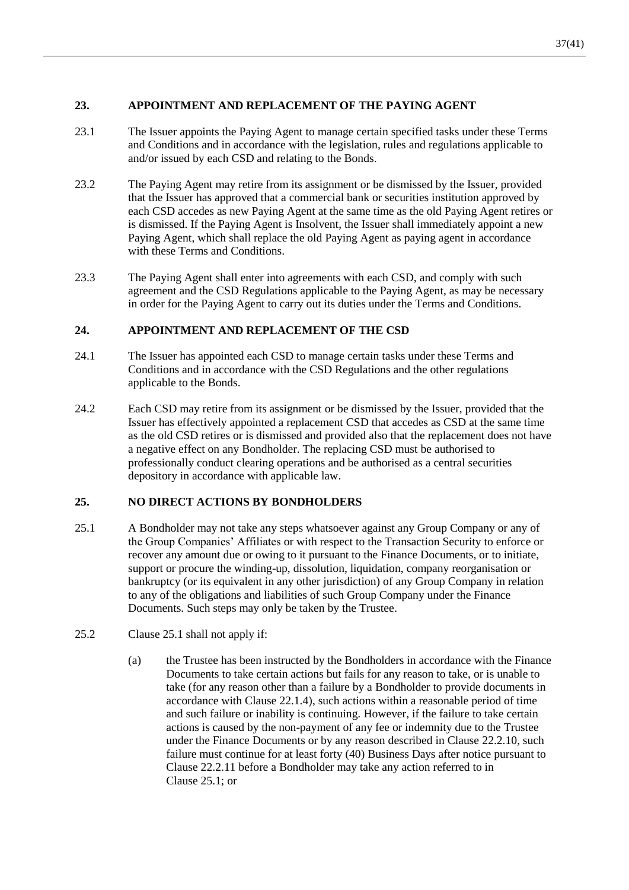# **23. APPOINTMENT AND REPLACEMENT OF THE PAYING AGENT**

- 23.1 The Issuer appoints the Paying Agent to manage certain specified tasks under these Terms and Conditions and in accordance with the legislation, rules and regulations applicable to and/or issued by each CSD and relating to the Bonds.
- 23.2 The Paying Agent may retire from its assignment or be dismissed by the Issuer, provided that the Issuer has approved that a commercial bank or securities institution approved by each CSD accedes as new Paying Agent at the same time as the old Paying Agent retires or is dismissed. If the Paying Agent is Insolvent, the Issuer shall immediately appoint a new Paying Agent, which shall replace the old Paying Agent as paying agent in accordance with these Terms and Conditions.
- 23.3 The Paying Agent shall enter into agreements with each CSD, and comply with such agreement and the CSD Regulations applicable to the Paying Agent, as may be necessary in order for the Paying Agent to carry out its duties under the Terms and Conditions.

# **24. APPOINTMENT AND REPLACEMENT OF THE CSD**

- 24.1 The Issuer has appointed each CSD to manage certain tasks under these Terms and Conditions and in accordance with the CSD Regulations and the other regulations applicable to the Bonds.
- 24.2 Each CSD may retire from its assignment or be dismissed by the Issuer, provided that the Issuer has effectively appointed a replacement CSD that accedes as CSD at the same time as the old CSD retires or is dismissed and provided also that the replacement does not have a negative effect on any Bondholder. The replacing CSD must be authorised to professionally conduct clearing operations and be authorised as a central securities depository in accordance with applicable law.

# **25. NO DIRECT ACTIONS BY BONDHOLDERS**

- <span id="page-38-0"></span>25.1 A Bondholder may not take any steps whatsoever against any Group Company or any of the Group Companies' Affiliates or with respect to the Transaction Security to enforce or recover any amount due or owing to it pursuant to the Finance Documents, or to initiate, support or procure the winding-up, dissolution, liquidation, company reorganisation or bankruptcy (or its equivalent in any other jurisdiction) of any Group Company in relation to any of the obligations and liabilities of such Group Company under the Finance Documents. Such steps may only be taken by the Trustee.
- 25.2 Clause [25.1](#page-38-0) shall not apply if:
	- (a) the Trustee has been instructed by the Bondholders in accordance with the Finance Documents to take certain actions but fails for any reason to take, or is unable to take (for any reason other than a failure by a Bondholder to provide documents in accordance with Clause [22.1.4\)](#page-34-2), such actions within a reasonable period of time and such failure or inability is continuing. However, if the failure to take certain actions is caused by the non-payment of any fee or indemnity due to the Trustee under the Finance Documents or by any reason described in Clause [22.2.10,](#page-36-1) such failure must continue for at least forty (40) Business Days after notice pursuant to Clause [22.2.11](#page-36-2) before a Bondholder may take any action referred to in Clause [25.1;](#page-38-0) or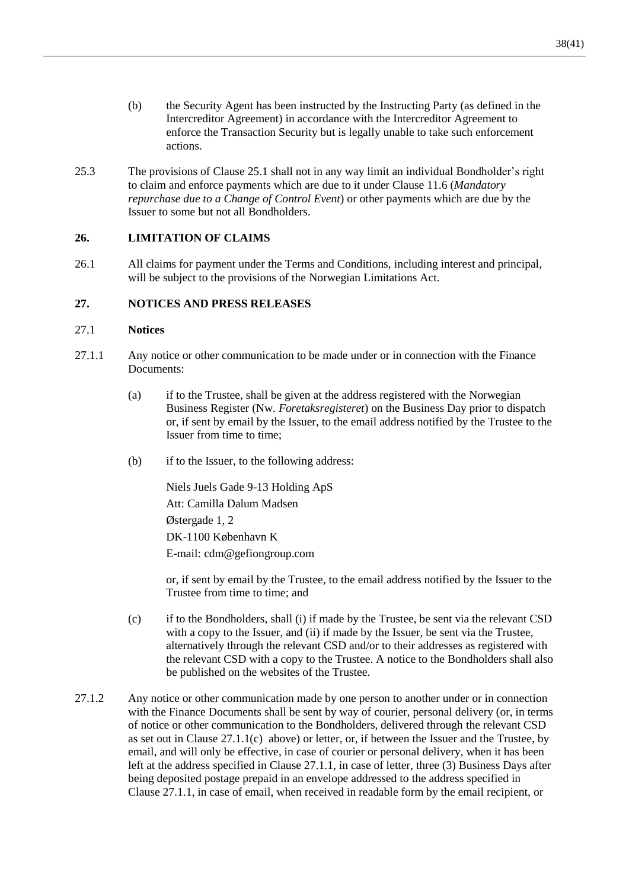- (b) the Security Agent has been instructed by the Instructing Party (as defined in the Intercreditor Agreement) in accordance with the Intercreditor Agreement to enforce the Transaction Security but is legally unable to take such enforcement actions.
- 25.3 The provisions of Clause [25.1](#page-38-0) shall not in any way limit an individual Bondholder's right to claim and enforce payments which are due to it under Clause [11.6](#page-19-1) (*Mandatory repurchase due to a Change of Control Event*) or other payments which are due by the Issuer to some but not all Bondholders.

## **26. LIMITATION OF CLAIMS**

26.1 All claims for payment under the Terms and Conditions, including interest and principal, will be subject to the provisions of the Norwegian Limitations Act.

## **27. NOTICES AND PRESS RELEASES**

#### 27.1 **Notices**

- <span id="page-39-0"></span>27.1.1 Any notice or other communication to be made under or in connection with the Finance Documents:
	- (a) if to the Trustee, shall be given at the address registered with the Norwegian Business Register (Nw. *Foretaksregisteret*) on the Business Day prior to dispatch or, if sent by email by the Issuer, to the email address notified by the Trustee to the Issuer from time to time;
	- (b) if to the Issuer, to the following address:

Niels Juels Gade 9-13 Holding ApS Att: Camilla Dalum Madsen Østergade 1, 2 DK-1100 København K E-mail: cdm@gefiongroup.com

or, if sent by email by the Trustee, to the email address notified by the Issuer to the Trustee from time to time; and

- (c) if to the Bondholders, shall (i) if made by the Trustee, be sent via the relevant CSD with a copy to the Issuer, and (ii) if made by the Issuer, be sent via the Trustee, alternatively through the relevant CSD and/or to their addresses as registered with the relevant CSD with a copy to the Trustee. A notice to the Bondholders shall also be published on the websites of the Trustee.
- 27.1.2 Any notice or other communication made by one person to another under or in connection with the Finance Documents shall be sent by way of courier, personal delivery (or, in terms of notice or other communication to the Bondholders, delivered through the relevant CSD as set out in Clause  $27.1.1(c)$  above) or letter, or, if between the Issuer and the Trustee, by email, and will only be effective, in case of courier or personal delivery, when it has been left at the address specified in Clause [27.1.1,](#page-39-0) in case of letter, three (3) Business Days after being deposited postage prepaid in an envelope addressed to the address specified in Clause [27.1.1,](#page-39-0) in case of email, when received in readable form by the email recipient, or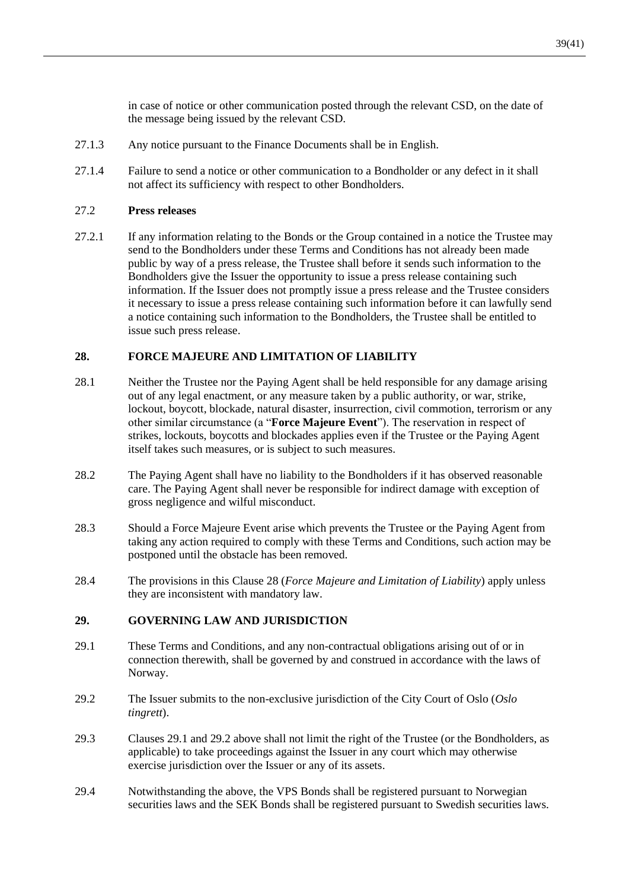in case of notice or other communication posted through the relevant CSD, on the date of the message being issued by the relevant CSD.

- 27.1.3 Any notice pursuant to the Finance Documents shall be in English.
- 27.1.4 Failure to send a notice or other communication to a Bondholder or any defect in it shall not affect its sufficiency with respect to other Bondholders.

#### 27.2 **Press releases**

27.2.1 If any information relating to the Bonds or the Group contained in a notice the Trustee may send to the Bondholders under these Terms and Conditions has not already been made public by way of a press release, the Trustee shall before it sends such information to the Bondholders give the Issuer the opportunity to issue a press release containing such information. If the Issuer does not promptly issue a press release and the Trustee considers it necessary to issue a press release containing such information before it can lawfully send a notice containing such information to the Bondholders, the Trustee shall be entitled to issue such press release.

#### <span id="page-40-1"></span>**28. FORCE MAJEURE AND LIMITATION OF LIABILITY**

- <span id="page-40-0"></span>28.1 Neither the Trustee nor the Paying Agent shall be held responsible for any damage arising out of any legal enactment, or any measure taken by a public authority, or war, strike, lockout, boycott, blockade, natural disaster, insurrection, civil commotion, terrorism or any other similar circumstance (a "**Force Majeure Event**"). The reservation in respect of strikes, lockouts, boycotts and blockades applies even if the Trustee or the Paying Agent itself takes such measures, or is subject to such measures.
- 28.2 The Paying Agent shall have no liability to the Bondholders if it has observed reasonable care. The Paying Agent shall never be responsible for indirect damage with exception of gross negligence and wilful misconduct.
- 28.3 Should a Force Majeure Event arise which prevents the Trustee or the Paying Agent from taking any action required to comply with these Terms and Conditions, such action may be postponed until the obstacle has been removed.
- 28.4 The provisions in this Clause [28](#page-40-1) (*Force Majeure and Limitation of Liability*) apply unless they are inconsistent with mandatory law.

#### **29. GOVERNING LAW AND JURISDICTION**

- <span id="page-40-2"></span>29.1 These Terms and Conditions, and any non-contractual obligations arising out of or in connection therewith, shall be governed by and construed in accordance with the laws of Norway.
- <span id="page-40-3"></span>29.2 The Issuer submits to the non-exclusive jurisdiction of the City Court of Oslo (*Oslo tingrett*).
- 29.3 Clauses [29.1](#page-40-2) and [29.2](#page-40-3) above shall not limit the right of the Trustee (or the Bondholders, as applicable) to take proceedings against the Issuer in any court which may otherwise exercise jurisdiction over the Issuer or any of its assets.
- 29.4 Notwithstanding the above, the VPS Bonds shall be registered pursuant to Norwegian securities laws and the SEK Bonds shall be registered pursuant to Swedish securities laws.